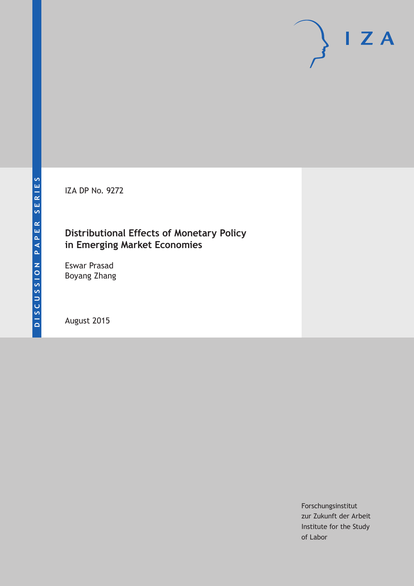IZA DP No. 9272

# **Distributional Effects of Monetary Policy in Emerging Market Economies**

Eswar Prasad Boyang Zhang

August 2015

Forschungsinstitut zur Zukunft der Arbeit Institute for the Study of Labor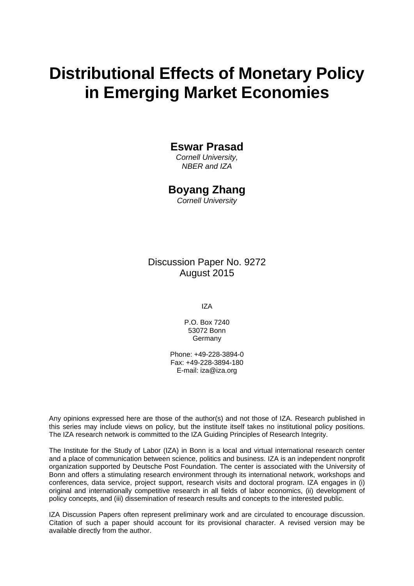# **Distributional Effects of Monetary Policy in Emerging Market Economies**

### **Eswar Prasad**

*Cornell University, NBER and IZA* 

### **Boyang Zhang**

*Cornell University* 

Discussion Paper No. 9272 August 2015

IZA

P.O. Box 7240 53072 Bonn **Germany** 

Phone: +49-228-3894-0 Fax: +49-228-3894-180 E-mail: iza@iza.org

Any opinions expressed here are those of the author(s) and not those of IZA. Research published in this series may include views on policy, but the institute itself takes no institutional policy positions. The IZA research network is committed to the IZA Guiding Principles of Research Integrity.

The Institute for the Study of Labor (IZA) in Bonn is a local and virtual international research center and a place of communication between science, politics and business. IZA is an independent nonprofit organization supported by Deutsche Post Foundation. The center is associated with the University of Bonn and offers a stimulating research environment through its international network, workshops and conferences, data service, project support, research visits and doctoral program. IZA engages in (i) original and internationally competitive research in all fields of labor economics, (ii) development of policy concepts, and (iii) dissemination of research results and concepts to the interested public.

IZA Discussion Papers often represent preliminary work and are circulated to encourage discussion. Citation of such a paper should account for its provisional character. A revised version may be available directly from the author.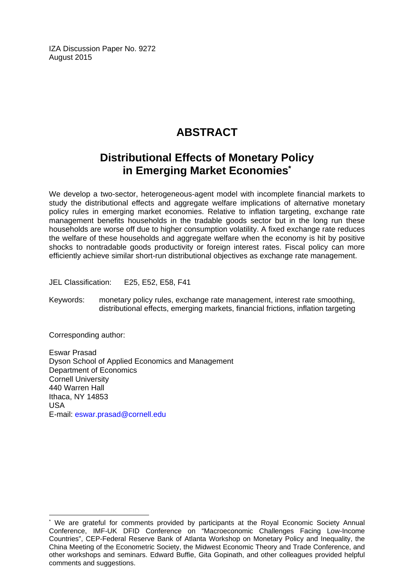IZA Discussion Paper No. 9272 August 2015

# **ABSTRACT**

# **Distributional Effects of Monetary Policy in Emerging Market Economies\***

We develop a two-sector, heterogeneous-agent model with incomplete financial markets to study the distributional effects and aggregate welfare implications of alternative monetary policy rules in emerging market economies. Relative to inflation targeting, exchange rate management benefits households in the tradable goods sector but in the long run these households are worse off due to higher consumption volatility. A fixed exchange rate reduces the welfare of these households and aggregate welfare when the economy is hit by positive shocks to nontradable goods productivity or foreign interest rates. Fiscal policy can more efficiently achieve similar short-run distributional objectives as exchange rate management.

JEL Classification: E25, E52, E58, F41

Keywords: monetary policy rules, exchange rate management, interest rate smoothing, distributional effects, emerging markets, financial frictions, inflation targeting

Corresponding author:

 $\overline{a}$ 

Eswar Prasad Dyson School of Applied Economics and Management Department of Economics Cornell University 440 Warren Hall Ithaca, NY 14853 USA E-mail: eswar.prasad@cornell.edu

<sup>\*</sup> We are grateful for comments provided by participants at the Royal Economic Society Annual Conference, IMF-UK DFID Conference on "Macroeconomic Challenges Facing Low-Income Countries", CEP-Federal Reserve Bank of Atlanta Workshop on Monetary Policy and Inequality, the China Meeting of the Econometric Society, the Midwest Economic Theory and Trade Conference, and other workshops and seminars. Edward Buffie, Gita Gopinath, and other colleagues provided helpful comments and suggestions.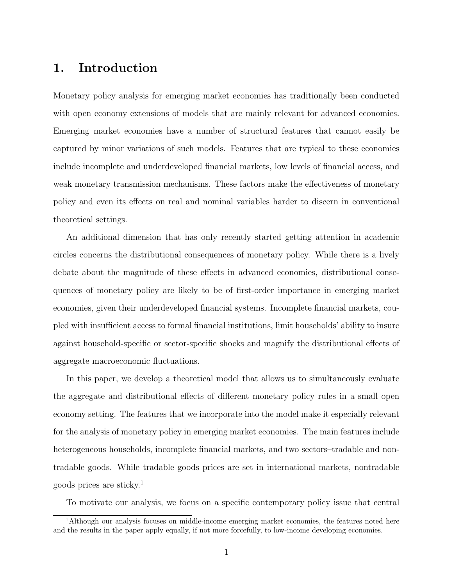# 1. Introduction

Monetary policy analysis for emerging market economies has traditionally been conducted with open economy extensions of models that are mainly relevant for advanced economies. Emerging market economies have a number of structural features that cannot easily be captured by minor variations of such models. Features that are typical to these economies include incomplete and underdeveloped financial markets, low levels of financial access, and weak monetary transmission mechanisms. These factors make the effectiveness of monetary policy and even its effects on real and nominal variables harder to discern in conventional theoretical settings.

An additional dimension that has only recently started getting attention in academic circles concerns the distributional consequences of monetary policy. While there is a lively debate about the magnitude of these effects in advanced economies, distributional consequences of monetary policy are likely to be of first-order importance in emerging market economies, given their underdeveloped financial systems. Incomplete financial markets, coupled with insufficient access to formal financial institutions, limit households' ability to insure against household-specific or sector-specific shocks and magnify the distributional effects of aggregate macroeconomic fluctuations.

In this paper, we develop a theoretical model that allows us to simultaneously evaluate the aggregate and distributional effects of different monetary policy rules in a small open economy setting. The features that we incorporate into the model make it especially relevant for the analysis of monetary policy in emerging market economies. The main features include heterogeneous households, incomplete financial markets, and two sectors–tradable and nontradable goods. While tradable goods prices are set in international markets, nontradable goods prices are sticky.<sup>1</sup>

To motivate our analysis, we focus on a specific contemporary policy issue that central

<sup>&</sup>lt;sup>1</sup>Although our analysis focuses on middle-income emerging market economies, the features noted here and the results in the paper apply equally, if not more forcefully, to low-income developing economies.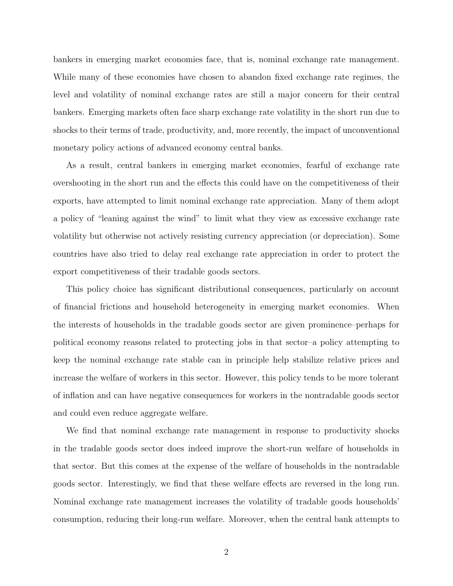bankers in emerging market economies face, that is, nominal exchange rate management. While many of these economies have chosen to abandon fixed exchange rate regimes, the level and volatility of nominal exchange rates are still a major concern for their central bankers. Emerging markets often face sharp exchange rate volatility in the short run due to shocks to their terms of trade, productivity, and, more recently, the impact of unconventional monetary policy actions of advanced economy central banks.

As a result, central bankers in emerging market economies, fearful of exchange rate overshooting in the short run and the effects this could have on the competitiveness of their exports, have attempted to limit nominal exchange rate appreciation. Many of them adopt a policy of "leaning against the wind" to limit what they view as excessive exchange rate volatility but otherwise not actively resisting currency appreciation (or depreciation). Some countries have also tried to delay real exchange rate appreciation in order to protect the export competitiveness of their tradable goods sectors.

This policy choice has significant distributional consequences, particularly on account of financial frictions and household heterogeneity in emerging market economies. When the interests of households in the tradable goods sector are given prominence–perhaps for political economy reasons related to protecting jobs in that sector–a policy attempting to keep the nominal exchange rate stable can in principle help stabilize relative prices and increase the welfare of workers in this sector. However, this policy tends to be more tolerant of inflation and can have negative consequences for workers in the nontradable goods sector and could even reduce aggregate welfare.

We find that nominal exchange rate management in response to productivity shocks in the tradable goods sector does indeed improve the short-run welfare of households in that sector. But this comes at the expense of the welfare of households in the nontradable goods sector. Interestingly, we find that these welfare effects are reversed in the long run. Nominal exchange rate management increases the volatility of tradable goods households' consumption, reducing their long-run welfare. Moreover, when the central bank attempts to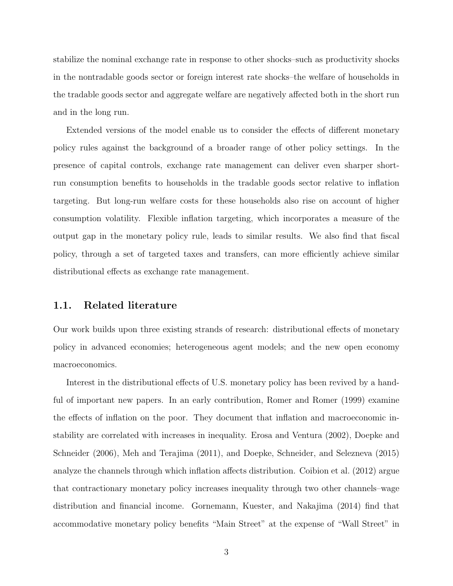stabilize the nominal exchange rate in response to other shocks–such as productivity shocks in the nontradable goods sector or foreign interest rate shocks–the welfare of households in the tradable goods sector and aggregate welfare are negatively affected both in the short run and in the long run.

Extended versions of the model enable us to consider the effects of different monetary policy rules against the background of a broader range of other policy settings. In the presence of capital controls, exchange rate management can deliver even sharper shortrun consumption benefits to households in the tradable goods sector relative to inflation targeting. But long-run welfare costs for these households also rise on account of higher consumption volatility. Flexible inflation targeting, which incorporates a measure of the output gap in the monetary policy rule, leads to similar results. We also find that fiscal policy, through a set of targeted taxes and transfers, can more efficiently achieve similar distributional effects as exchange rate management.

#### 1.1. Related literature

Our work builds upon three existing strands of research: distributional effects of monetary policy in advanced economies; heterogeneous agent models; and the new open economy macroeconomics.

Interest in the distributional effects of U.S. monetary policy has been revived by a handful of important new papers. In an early contribution, Romer and Romer (1999) examine the effects of inflation on the poor. They document that inflation and macroeconomic instability are correlated with increases in inequality. Erosa and Ventura (2002), Doepke and Schneider (2006), Meh and Terajima (2011), and Doepke, Schneider, and Selezneva (2015) analyze the channels through which inflation affects distribution. Coibion et al. (2012) argue that contractionary monetary policy increases inequality through two other channels–wage distribution and financial income. Gornemann, Kuester, and Nakajima (2014) find that accommodative monetary policy benefits "Main Street" at the expense of "Wall Street" in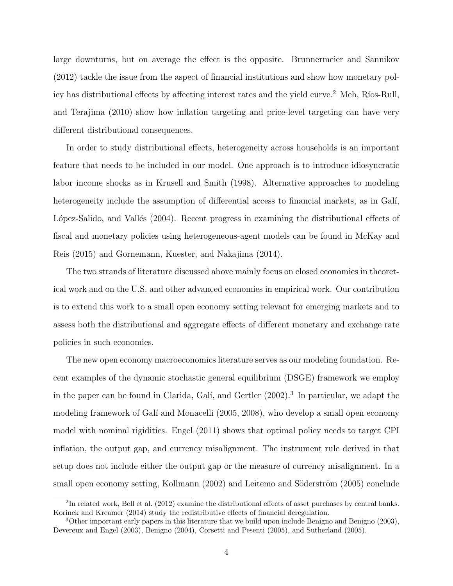large downturns, but on average the effect is the opposite. Brunnermeier and Sannikov (2012) tackle the issue from the aspect of financial institutions and show how monetary policy has distributional effects by affecting interest rates and the yield curve.<sup>2</sup> Meh, Ríos-Rull, and Terajima (2010) show how inflation targeting and price-level targeting can have very different distributional consequences.

In order to study distributional effects, heterogeneity across households is an important feature that needs to be included in our model. One approach is to introduce idiosyncratic labor income shocks as in Krusell and Smith (1998). Alternative approaches to modeling heterogeneity include the assumption of differential access to financial markets, as in Galí, López-Salido, and Vallés (2004). Recent progress in examining the distributional effects of fiscal and monetary policies using heterogeneous-agent models can be found in McKay and Reis (2015) and Gornemann, Kuester, and Nakajima (2014).

The two strands of literature discussed above mainly focus on closed economies in theoretical work and on the U.S. and other advanced economies in empirical work. Our contribution is to extend this work to a small open economy setting relevant for emerging markets and to assess both the distributional and aggregate effects of different monetary and exchange rate policies in such economies.

The new open economy macroeconomics literature serves as our modeling foundation. Recent examples of the dynamic stochastic general equilibrium (DSGE) framework we employ in the paper can be found in Clarida, Galí, and Gertler (2002).<sup>3</sup> In particular, we adapt the modeling framework of Galí and Monacelli (2005, 2008), who develop a small open economy model with nominal rigidities. Engel (2011) shows that optimal policy needs to target CPI inflation, the output gap, and currency misalignment. The instrument rule derived in that setup does not include either the output gap or the measure of currency misalignment. In a small open economy setting, Kollmann (2002) and Leitemo and Söderström (2005) conclude

<sup>&</sup>lt;sup>2</sup>In related work, Bell et al. (2012) examine the distributional effects of asset purchases by central banks. Korinek and Kreamer (2014) study the redistributive effects of financial deregulation.

<sup>3</sup>Other important early papers in this literature that we build upon include Benigno and Benigno (2003), Devereux and Engel (2003), Benigno (2004), Corsetti and Pesenti (2005), and Sutherland (2005).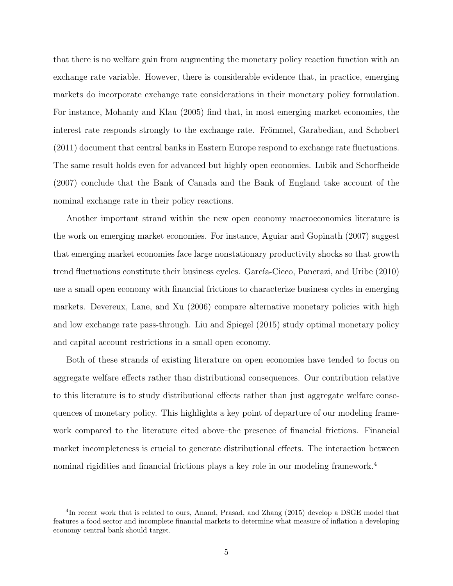that there is no welfare gain from augmenting the monetary policy reaction function with an exchange rate variable. However, there is considerable evidence that, in practice, emerging markets do incorporate exchange rate considerations in their monetary policy formulation. For instance, Mohanty and Klau (2005) find that, in most emerging market economies, the interest rate responds strongly to the exchange rate. Frömmel, Garabedian, and Schobert (2011) document that central banks in Eastern Europe respond to exchange rate fluctuations. The same result holds even for advanced but highly open economies. Lubik and Schorfheide (2007) conclude that the Bank of Canada and the Bank of England take account of the nominal exchange rate in their policy reactions.

Another important strand within the new open economy macroeconomics literature is the work on emerging market economies. For instance, Aguiar and Gopinath (2007) suggest that emerging market economies face large nonstationary productivity shocks so that growth trend fluctuations constitute their business cycles. García-Cicco, Pancrazi, and Uribe (2010) use a small open economy with financial frictions to characterize business cycles in emerging markets. Devereux, Lane, and Xu (2006) compare alternative monetary policies with high and low exchange rate pass-through. Liu and Spiegel (2015) study optimal monetary policy and capital account restrictions in a small open economy.

Both of these strands of existing literature on open economies have tended to focus on aggregate welfare effects rather than distributional consequences. Our contribution relative to this literature is to study distributional effects rather than just aggregate welfare consequences of monetary policy. This highlights a key point of departure of our modeling framework compared to the literature cited above–the presence of financial frictions. Financial market incompleteness is crucial to generate distributional effects. The interaction between nominal rigidities and financial frictions plays a key role in our modeling framework.<sup>4</sup>

<sup>&</sup>lt;sup>4</sup>In recent work that is related to ours, Anand, Prasad, and Zhang (2015) develop a DSGE model that features a food sector and incomplete financial markets to determine what measure of inflation a developing economy central bank should target.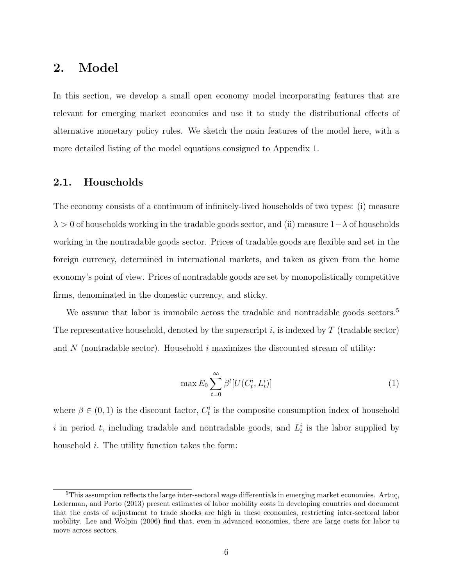### 2. Model

In this section, we develop a small open economy model incorporating features that are relevant for emerging market economies and use it to study the distributional effects of alternative monetary policy rules. We sketch the main features of the model here, with a more detailed listing of the model equations consigned to Appendix 1.

### 2.1. Households

The economy consists of a continuum of infinitely-lived households of two types: (i) measure  $\lambda > 0$  of households working in the tradable goods sector, and (ii) measure  $1-\lambda$  of households working in the nontradable goods sector. Prices of tradable goods are flexible and set in the foreign currency, determined in international markets, and taken as given from the home economy's point of view. Prices of nontradable goods are set by monopolistically competitive firms, denominated in the domestic currency, and sticky.

We assume that labor is immobile across the tradable and nontradable goods sectors.<sup>5</sup> The representative household, denoted by the superscript i, is indexed by  $T$  (tradable sector) and  $N$  (nontradable sector). Household  $i$  maximizes the discounted stream of utility:

$$
\max E_0 \sum_{t=0}^{\infty} \beta^t [U(C_t^i, L_t^i)] \tag{1}
$$

where  $\beta \in (0,1)$  is the discount factor,  $C_t^i$  is the composite consumption index of household i in period t, including tradable and nontradable goods, and  $L_t^i$  is the labor supplied by household *i*. The utility function takes the form:

 $5$ This assumption reflects the large inter-sectoral wage differentials in emerging market economies. Artuç, Lederman, and Porto (2013) present estimates of labor mobility costs in developing countries and document that the costs of adjustment to trade shocks are high in these economies, restricting inter-sectoral labor mobility. Lee and Wolpin (2006) find that, even in advanced economies, there are large costs for labor to move across sectors.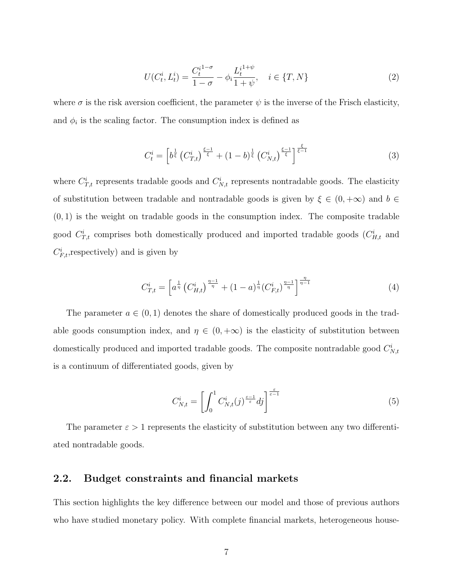$$
U(C_t^i, L_t^i) = \frac{C_t^{i^{1-\sigma}}}{1-\sigma} - \phi_i \frac{L_t^{i^{1+\psi}}}{1+\psi}, \quad i \in \{T, N\}
$$
 (2)

where  $\sigma$  is the risk aversion coefficient, the parameter  $\psi$  is the inverse of the Frisch elasticity, and  $\phi_i$  is the scaling factor. The consumption index is defined as

$$
C_t^i = \left[ b^{\frac{1}{\xi}} \left( C_{T,t}^i \right)^{\frac{\xi - 1}{\xi}} + (1 - b)^{\frac{1}{\xi}} \left( C_{N,t}^i \right)^{\frac{\xi - 1}{\xi}} \right]^{\frac{\xi}{\xi - 1}}
$$
(3)

where  $C_{T,t}^{i}$  represents tradable goods and  $C_{N,t}^{i}$  represents nontradable goods. The elasticity of substitution between tradable and nontradable goods is given by  $\xi \in (0, +\infty)$  and  $b \in$  $(0, 1)$  is the weight on tradable goods in the consumption index. The composite tradable good  $C_{T,t}^i$  comprises both domestically produced and imported tradable goods  $(C_{H,t}^i$  and  $C_{F,t}^i$ , respectively) and is given by

$$
C_{T,t}^{i} = \left[a^{\frac{1}{\eta}} \left(C_{H,t}^{i}\right)^{\frac{\eta-1}{\eta}} + (1-a)^{\frac{1}{\eta}} \left(C_{F,t}^{i}\right)^{\frac{\eta-1}{\eta}}\right]^{\frac{\eta}{\eta-1}}
$$
(4)

The parameter  $a \in (0,1)$  denotes the share of domestically produced goods in the tradable goods consumption index, and  $\eta \in (0, +\infty)$  is the elasticity of substitution between domestically produced and imported tradable goods. The composite nontradable good  $C_{N,t}^{i}$ is a continuum of differentiated goods, given by

$$
C_{N,t}^{i} = \left[ \int_0^1 C_{N,t}^{i}(j)^{\frac{\varepsilon - 1}{\varepsilon}} dj \right]^{\frac{\varepsilon}{\varepsilon - 1}}
$$
(5)

The parameter  $\varepsilon > 1$  represents the elasticity of substitution between any two differentiated nontradable goods.

#### 2.2. Budget constraints and financial markets

This section highlights the key difference between our model and those of previous authors who have studied monetary policy. With complete financial markets, heterogeneous house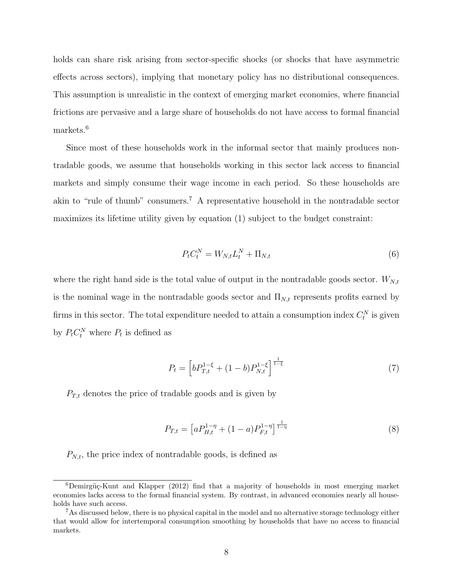holds can share risk arising from sector-specific shocks (or shocks that have asymmetric effects across sectors), implying that monetary policy has no distributional consequences. This assumption is unrealistic in the context of emerging market economies, where financial frictions are pervasive and a large share of households do not have access to formal financial markets.<sup>6</sup>

Since most of these households work in the informal sector that mainly produces nontradable goods, we assume that households working in this sector lack access to financial markets and simply consume their wage income in each period. So these households are akin to "rule of thumb" consumers.<sup>7</sup> A representative household in the nontradable sector maximizes its lifetime utility given by equation (1) subject to the budget constraint:

$$
P_t C_t^N = W_{N,t} L_t^N + \Pi_{N,t} \tag{6}
$$

where the right hand side is the total value of output in the nontradable goods sector.  $W_{N,t}$ is the nominal wage in the nontradable goods sector and  $\Pi_{N,t}$  represents profits earned by firms in this sector. The total expenditure needed to attain a consumption index  $C_t^N$  is given by  $P_t C_t^N$  where  $P_t$  is defined as

$$
P_t = \left[ b P_{T,t}^{1-\xi} + (1-b) P_{N,t}^{1-\xi} \right]^{\frac{1}{1-\xi}}
$$
\n(7)

 $P_{T,t}$  denotes the price of tradable goods and is given by

$$
P_{T,t} = \left[aP_{H,t}^{1-\eta} + (1-a)P_{F,t}^{1-\eta}\right]^{\frac{1}{1-\eta}}
$$
\n(8)

 $P_{N,t}$ , the price index of nontradable goods, is defined as

 $6$ Demirgüç-Kunt and Klapper (2012) find that a majority of households in most emerging market economies lacks access to the formal financial system. By contrast, in advanced economies nearly all households have such access.

<sup>&</sup>lt;sup>7</sup>As discussed below, there is no physical capital in the model and no alternative storage technology either that would allow for intertemporal consumption smoothing by households that have no access to financial markets.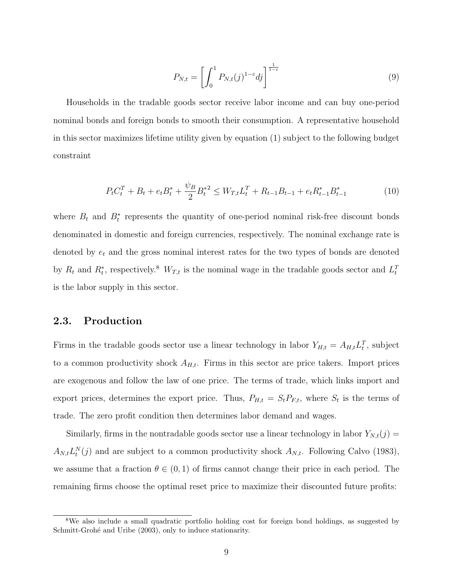$$
P_{N,t} = \left[ \int_0^1 P_{N,t}(j)^{1-\varepsilon} dj \right]^{\frac{1}{1-\varepsilon}}
$$
\n(9)

Households in the tradable goods sector receive labor income and can buy one-period nominal bonds and foreign bonds to smooth their consumption. A representative household in this sector maximizes lifetime utility given by equation (1) subject to the following budget constraint

$$
P_t C_t^T + B_t + e_t B_t^* + \frac{\psi_B}{2} B_t^{*2} \le W_{T,t} L_t^T + R_{t-1} B_{t-1} + e_t R_{t-1}^* B_{t-1}^* \tag{10}
$$

where  $B_t$  and  $B_t^*$  represents the quantity of one-period nominal risk-free discount bonds denominated in domestic and foreign currencies, respectively. The nominal exchange rate is denoted by  $e_t$  and the gross nominal interest rates for the two types of bonds are denoted by  $R_t$  and  $R_t^*$ , respectively.<sup>8</sup>  $W_{T,t}$  is the nominal wage in the tradable goods sector and  $L_t^T$ is the labor supply in this sector.

### 2.3. Production

Firms in the tradable goods sector use a linear technology in labor  $Y_{H,t} = A_{H,t} L_t^T$ , subject to a common productivity shock  $A_{H,t}$ . Firms in this sector are price takers. Import prices are exogenous and follow the law of one price. The terms of trade, which links import and export prices, determines the export price. Thus,  $P_{H,t} = S_t P_{F,t}$ , where  $S_t$  is the terms of trade. The zero profit condition then determines labor demand and wages.

Similarly, firms in the nontradable goods sector use a linear technology in labor  $Y_{N,t}(j)$  =  $A_{N,t}L_t^N(j)$  and are subject to a common productivity shock  $A_{N,t}$ . Following Calvo (1983), we assume that a fraction  $\theta \in (0,1)$  of firms cannot change their price in each period. The remaining firms choose the optimal reset price to maximize their discounted future profits:

<sup>&</sup>lt;sup>8</sup>We also include a small quadratic portfolio holding cost for foreign bond holdings, as suggested by Schmitt-Grohé and Uribe (2003), only to induce stationarity.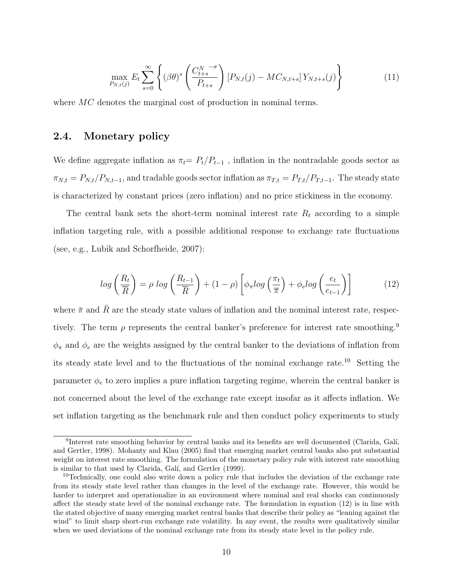$$
\max_{P_{N,t}(j)} E_t \sum_{s=0}^{\infty} \left\{ (\beta \theta)^s \left( \frac{C_{t+s}^{N^{-\sigma}}}{P_{t+s}} \right) [P_{N,t}(j) - MC_{N,t+s}] Y_{N,t+s}(j) \right\}
$$
(11)

where MC denotes the marginal cost of production in nominal terms.

#### 2.4. Monetary policy

We define aggregate inflation as  $\pi_t = P_t/P_{t-1}$ , inflation in the nontradable goods sector as  $\pi_{N,t} = P_{N,t}/P_{N,t-1}$ , and tradable goods sector inflation as  $\pi_{T,t} = P_{T,t}/P_{T,t-1}$ . The steady state is characterized by constant prices (zero inflation) and no price stickiness in the economy.

The central bank sets the short-term nominal interest rate  $R_t$  according to a simple inflation targeting rule, with a possible additional response to exchange rate fluctuations (see, e.g., Lubik and Schorfheide, 2007):

$$
log\left(\frac{R_t}{\overline{R}}\right) = \rho log\left(\frac{R_{t-1}}{\overline{R}}\right) + (1-\rho)\left[\phi_\pi log\left(\frac{\pi_t}{\overline{\pi}}\right) + \phi_e log\left(\frac{e_t}{e_{t-1}}\right)\right]
$$
(12)

where  $\bar{\pi}$  and  $\bar{R}$  are the steady state values of inflation and the nominal interest rate, respectively. The term  $\rho$  represents the central banker's preference for interest rate smoothing.<sup>9</sup>  $\phi_{\pi}$  and  $\phi_e$  are the weights assigned by the central banker to the deviations of inflation from its steady state level and to the fluctuations of the nominal exchange rate.<sup>10</sup> Setting the parameter  $\phi_e$  to zero implies a pure inflation targeting regime, wherein the central banker is not concerned about the level of the exchange rate except insofar as it affects inflation. We set inflation targeting as the benchmark rule and then conduct policy experiments to study

<sup>&</sup>lt;sup>9</sup>Interest rate smoothing behavior by central banks and its benefits are well documented (Clarida, Galí, and Gertler, 1998). Mohanty and Klau (2005) find that emerging market central banks also put substantial weight on interest rate smoothing. The formulation of the monetary policy rule with interest rate smoothing is similar to that used by Clarida, Galí, and Gertler (1999).

<sup>&</sup>lt;sup>10</sup>Technically, one could also write down a policy rule that includes the deviation of the exchange rate from its steady state level rather than changes in the level of the exchange rate. However, this would be harder to interpret and operationalize in an environment where nominal and real shocks can continuously affect the steady state level of the nominal exchange rate. The formulation in equation (12) is in line with the stated objective of many emerging market central banks that describe their policy as "leaning against the wind" to limit sharp short-run exchange rate volatility. In any event, the results were qualitatively similar when we used deviations of the nominal exchange rate from its steady state level in the policy rule.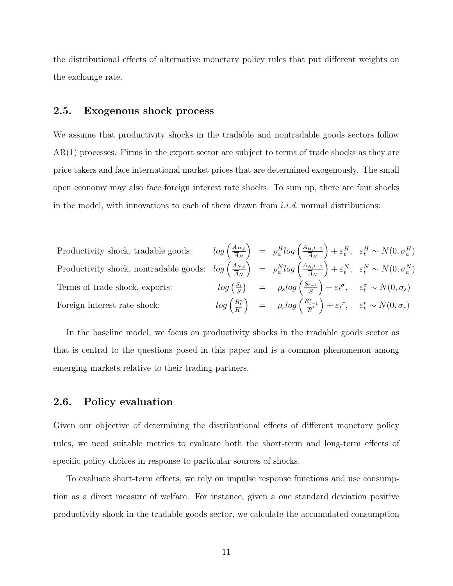the distributional effects of alternative monetary policy rules that put different weights on the exchange rate.

### 2.5. Exogenous shock process

We assume that productivity shocks in the tradable and nontradable goods sectors follow AR(1) processes. Firms in the export sector are subject to terms of trade shocks as they are price takers and face international market prices that are determined exogenously. The small open economy may also face foreign interest rate shocks. To sum up, there are four shocks in the model, with innovations to each of them drawn from  $i.i.d.$  normal distributions:

Productivity shock, tradable goods: 
$$
log\left(\frac{A_{H,t}}{\overline{A}_H}\right) = \rho_a^H log\left(\frac{A_{H,t-1}}{\overline{A}_H}\right) + \varepsilon_t^H
$$
,  $\varepsilon_t^H \sim N(0, \sigma_a^H)$   
Productivity shock, nontradable goods:  $log\left(\frac{A_{N,t}}{\overline{A}_N}\right) = \rho_a^N log\left(\frac{A_{N,t-1}}{\overline{A}_N}\right) + \varepsilon_t^N$ ,  $\varepsilon_t^N \sim N(0, \sigma_a^N)$   
Terms of trade shock, exports:  $log\left(\frac{S_t}{\overline{S}}\right) = \rho_s log\left(\frac{S_{t-1}}{\overline{S}}\right) + \varepsilon_t^{\sigma}$ ,  $\varepsilon_t^{\sigma} \sim N(0, \sigma_s)$   
 Foreign interest rate shock:  $log\left(\frac{R_t^*}{\overline{R}^*}\right) = \rho_r log\left(\frac{R_{t-1}^*}{\overline{R}^*}\right) + \varepsilon_t^r$ ,  $\varepsilon_t^r \sim N(0, \sigma_r)$ 

In the baseline model, we focus on productivity shocks in the tradable goods sector as that is central to the questions posed in this paper and is a common phenomenon among emerging markets relative to their trading partners.

### 2.6. Policy evaluation

Given our objective of determining the distributional effects of different monetary policy rules, we need suitable metrics to evaluate both the short-term and long-term effects of specific policy choices in response to particular sources of shocks.

To evaluate short-term effects, we rely on impulse response functions and use consumption as a direct measure of welfare. For instance, given a one standard deviation positive productivity shock in the tradable goods sector, we calculate the accumulated consumption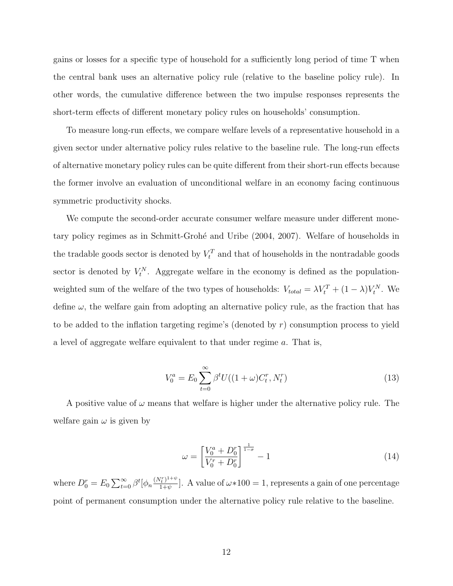gains or losses for a specific type of household for a sufficiently long period of time T when the central bank uses an alternative policy rule (relative to the baseline policy rule). In other words, the cumulative difference between the two impulse responses represents the short-term effects of different monetary policy rules on households' consumption.

To measure long-run effects, we compare welfare levels of a representative household in a given sector under alternative policy rules relative to the baseline rule. The long-run effects of alternative monetary policy rules can be quite different from their short-run effects because the former involve an evaluation of unconditional welfare in an economy facing continuous symmetric productivity shocks.

We compute the second-order accurate consumer welfare measure under different monetary policy regimes as in Schmitt-Grohé and Uribe (2004, 2007). Welfare of households in the tradable goods sector is denoted by  $V_t^T$  and that of households in the nontradable goods sector is denoted by  $V_t^N$ . Aggregate welfare in the economy is defined as the populationweighted sum of the welfare of the two types of households:  $V_{total} = \lambda V_t^T + (1 - \lambda)V_t^N$ . We define  $\omega$ , the welfare gain from adopting an alternative policy rule, as the fraction that has to be added to the inflation targeting regime's (denoted by r) consumption process to yield a level of aggregate welfare equivalent to that under regime a. That is,

$$
V_0^a = E_0 \sum_{t=0}^{\infty} \beta^t U((1+\omega)C_t^r, N_t^r)
$$
\n(13)

A positive value of  $\omega$  means that welfare is higher under the alternative policy rule. The welfare gain  $\omega$  is given by

$$
\omega = \left[\frac{V_0^a + D_0^r}{V_0^r + D_0^r}\right]^{\frac{1}{1-\sigma}} - 1\tag{14}
$$

where  $D_0^r = E_0 \sum_{t=0}^{\infty} \beta^t [\phi_n \frac{(N_t^r)^{1+\psi}}{1+\psi}]$  $\frac{(\frac{1}{t})^{1+\psi}}{1+\psi}$ . A value of  $\omega*100 = 1$ , represents a gain of one percentage point of permanent consumption under the alternative policy rule relative to the baseline.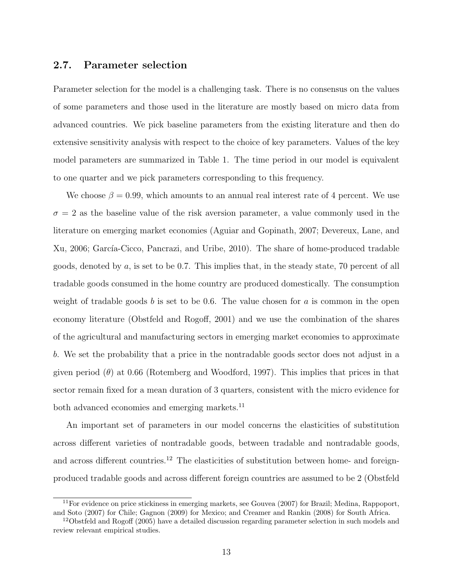#### 2.7. Parameter selection

Parameter selection for the model is a challenging task. There is no consensus on the values of some parameters and those used in the literature are mostly based on micro data from advanced countries. We pick baseline parameters from the existing literature and then do extensive sensitivity analysis with respect to the choice of key parameters. Values of the key model parameters are summarized in Table 1. The time period in our model is equivalent to one quarter and we pick parameters corresponding to this frequency.

We choose  $\beta = 0.99$ , which amounts to an annual real interest rate of 4 percent. We use  $\sigma = 2$  as the baseline value of the risk aversion parameter, a value commonly used in the literature on emerging market economies (Aguiar and Gopinath, 2007; Devereux, Lane, and Xu, 2006; García-Cicco, Pancrazi, and Uribe, 2010). The share of home-produced tradable goods, denoted by  $a$ , is set to be 0.7. This implies that, in the steady state, 70 percent of all tradable goods consumed in the home country are produced domestically. The consumption weight of tradable goods b is set to be 0.6. The value chosen for a is common in the open economy literature (Obstfeld and Rogoff, 2001) and we use the combination of the shares of the agricultural and manufacturing sectors in emerging market economies to approximate b. We set the probability that a price in the nontradable goods sector does not adjust in a given period  $(\theta)$  at 0.66 (Rotemberg and Woodford, 1997). This implies that prices in that sector remain fixed for a mean duration of 3 quarters, consistent with the micro evidence for both advanced economies and emerging markets.<sup>11</sup>

An important set of parameters in our model concerns the elasticities of substitution across different varieties of nontradable goods, between tradable and nontradable goods, and across different countries.<sup>12</sup> The elasticities of substitution between home- and foreignproduced tradable goods and across different foreign countries are assumed to be 2 (Obstfeld

 $11$  For evidence on price stickiness in emerging markets, see Gouvea (2007) for Brazil; Medina, Rappoport, and Soto (2007) for Chile; Gagnon (2009) for Mexico; and Creamer and Rankin (2008) for South Africa.

<sup>&</sup>lt;sup>12</sup>Obstfeld and Rogoff (2005) have a detailed discussion regarding parameter selection in such models and review relevant empirical studies.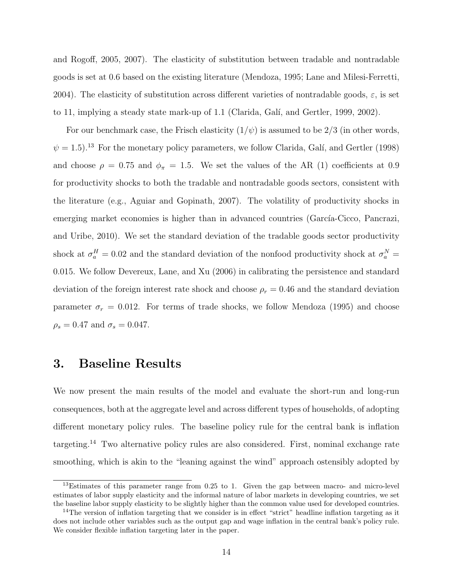and Rogoff, 2005, 2007). The elasticity of substitution between tradable and nontradable goods is set at 0.6 based on the existing literature (Mendoza, 1995; Lane and Milesi-Ferretti, 2004). The elasticity of substitution across different varieties of nontradable goods,  $\varepsilon$ , is set to 11, implying a steady state mark-up of 1.1 (Clarida, Galí, and Gertler, 1999, 2002).

For our benchmark case, the Frisch elasticity  $(1/\psi)$  is assumed to be 2/3 (in other words,  $\psi = 1.5$ .<sup>13</sup> For the monetary policy parameters, we follow Clarida, Galí, and Gertler (1998) and choose  $\rho = 0.75$  and  $\phi_{\pi} = 1.5$ . We set the values of the AR (1) coefficients at 0.9 for productivity shocks to both the tradable and nontradable goods sectors, consistent with the literature (e.g., Aguiar and Gopinath, 2007). The volatility of productivity shocks in emerging market economies is higher than in advanced countries (García-Cicco, Pancrazi, and Uribe, 2010). We set the standard deviation of the tradable goods sector productivity shock at  $\sigma_a^H = 0.02$  and the standard deviation of the nonfood productivity shock at  $\sigma_a^N =$ 0.015. We follow Devereux, Lane, and Xu (2006) in calibrating the persistence and standard deviation of the foreign interest rate shock and choose  $\rho_r = 0.46$  and the standard deviation parameter  $\sigma_r = 0.012$ . For terms of trade shocks, we follow Mendoza (1995) and choose  $\rho_s = 0.47$  and  $\sigma_s = 0.047$ .

### 3. Baseline Results

We now present the main results of the model and evaluate the short-run and long-run consequences, both at the aggregate level and across different types of households, of adopting different monetary policy rules. The baseline policy rule for the central bank is inflation targeting.<sup>14</sup> Two alternative policy rules are also considered. First, nominal exchange rate smoothing, which is akin to the "leaning against the wind" approach ostensibly adopted by

 $13$ Estimates of this parameter range from 0.25 to 1. Given the gap between macro- and micro-level estimates of labor supply elasticity and the informal nature of labor markets in developing countries, we set the baseline labor supply elasticity to be slightly higher than the common value used for developed countries.

<sup>&</sup>lt;sup>14</sup>The version of inflation targeting that we consider is in effect "strict" headline inflation targeting as it does not include other variables such as the output gap and wage inflation in the central bank's policy rule. We consider flexible inflation targeting later in the paper.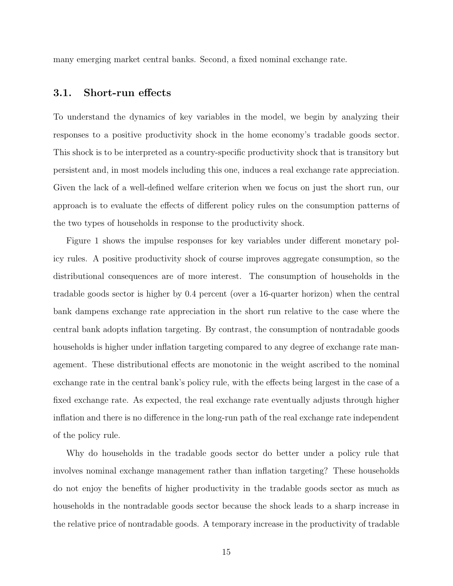many emerging market central banks. Second, a fixed nominal exchange rate.

### 3.1. Short-run effects

To understand the dynamics of key variables in the model, we begin by analyzing their responses to a positive productivity shock in the home economy's tradable goods sector. This shock is to be interpreted as a country-specific productivity shock that is transitory but persistent and, in most models including this one, induces a real exchange rate appreciation. Given the lack of a well-defined welfare criterion when we focus on just the short run, our approach is to evaluate the effects of different policy rules on the consumption patterns of the two types of households in response to the productivity shock.

Figure 1 shows the impulse responses for key variables under different monetary policy rules. A positive productivity shock of course improves aggregate consumption, so the distributional consequences are of more interest. The consumption of households in the tradable goods sector is higher by 0.4 percent (over a 16-quarter horizon) when the central bank dampens exchange rate appreciation in the short run relative to the case where the central bank adopts inflation targeting. By contrast, the consumption of nontradable goods households is higher under inflation targeting compared to any degree of exchange rate management. These distributional effects are monotonic in the weight ascribed to the nominal exchange rate in the central bank's policy rule, with the effects being largest in the case of a fixed exchange rate. As expected, the real exchange rate eventually adjusts through higher inflation and there is no difference in the long-run path of the real exchange rate independent of the policy rule.

Why do households in the tradable goods sector do better under a policy rule that involves nominal exchange management rather than inflation targeting? These households do not enjoy the benefits of higher productivity in the tradable goods sector as much as households in the nontradable goods sector because the shock leads to a sharp increase in the relative price of nontradable goods. A temporary increase in the productivity of tradable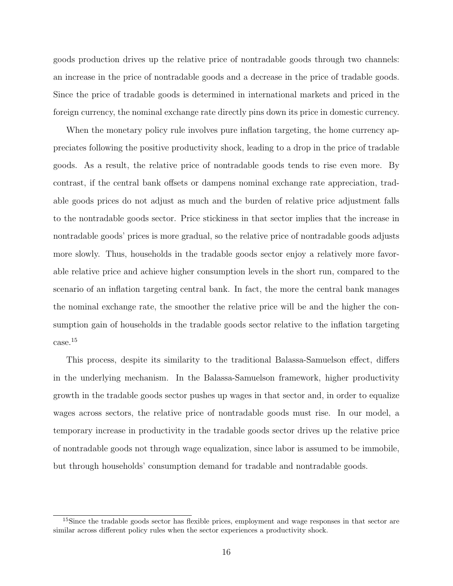goods production drives up the relative price of nontradable goods through two channels: an increase in the price of nontradable goods and a decrease in the price of tradable goods. Since the price of tradable goods is determined in international markets and priced in the foreign currency, the nominal exchange rate directly pins down its price in domestic currency.

When the monetary policy rule involves pure inflation targeting, the home currency appreciates following the positive productivity shock, leading to a drop in the price of tradable goods. As a result, the relative price of nontradable goods tends to rise even more. By contrast, if the central bank offsets or dampens nominal exchange rate appreciation, tradable goods prices do not adjust as much and the burden of relative price adjustment falls to the nontradable goods sector. Price stickiness in that sector implies that the increase in nontradable goods' prices is more gradual, so the relative price of nontradable goods adjusts more slowly. Thus, households in the tradable goods sector enjoy a relatively more favorable relative price and achieve higher consumption levels in the short run, compared to the scenario of an inflation targeting central bank. In fact, the more the central bank manages the nominal exchange rate, the smoother the relative price will be and the higher the consumption gain of households in the tradable goods sector relative to the inflation targeting case.<sup>15</sup>

This process, despite its similarity to the traditional Balassa-Samuelson effect, differs in the underlying mechanism. In the Balassa-Samuelson framework, higher productivity growth in the tradable goods sector pushes up wages in that sector and, in order to equalize wages across sectors, the relative price of nontradable goods must rise. In our model, a temporary increase in productivity in the tradable goods sector drives up the relative price of nontradable goods not through wage equalization, since labor is assumed to be immobile, but through households' consumption demand for tradable and nontradable goods.

<sup>&</sup>lt;sup>15</sup>Since the tradable goods sector has flexible prices, employment and wage responses in that sector are similar across different policy rules when the sector experiences a productivity shock.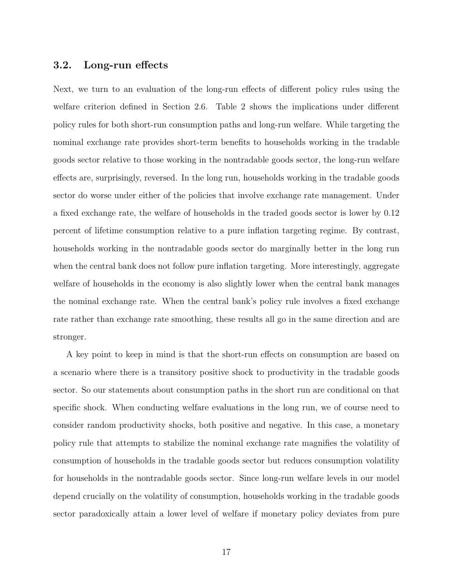#### 3.2. Long-run effects

Next, we turn to an evaluation of the long-run effects of different policy rules using the welfare criterion defined in Section 2.6. Table 2 shows the implications under different policy rules for both short-run consumption paths and long-run welfare. While targeting the nominal exchange rate provides short-term benefits to households working in the tradable goods sector relative to those working in the nontradable goods sector, the long-run welfare effects are, surprisingly, reversed. In the long run, households working in the tradable goods sector do worse under either of the policies that involve exchange rate management. Under a fixed exchange rate, the welfare of households in the traded goods sector is lower by 0.12 percent of lifetime consumption relative to a pure inflation targeting regime. By contrast, households working in the nontradable goods sector do marginally better in the long run when the central bank does not follow pure inflation targeting. More interestingly, aggregate welfare of households in the economy is also slightly lower when the central bank manages the nominal exchange rate. When the central bank's policy rule involves a fixed exchange rate rather than exchange rate smoothing, these results all go in the same direction and are stronger.

A key point to keep in mind is that the short-run effects on consumption are based on a scenario where there is a transitory positive shock to productivity in the tradable goods sector. So our statements about consumption paths in the short run are conditional on that specific shock. When conducting welfare evaluations in the long run, we of course need to consider random productivity shocks, both positive and negative. In this case, a monetary policy rule that attempts to stabilize the nominal exchange rate magnifies the volatility of consumption of households in the tradable goods sector but reduces consumption volatility for households in the nontradable goods sector. Since long-run welfare levels in our model depend crucially on the volatility of consumption, households working in the tradable goods sector paradoxically attain a lower level of welfare if monetary policy deviates from pure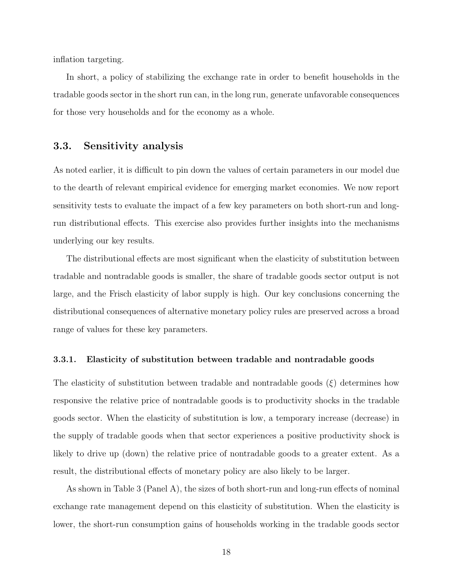inflation targeting.

In short, a policy of stabilizing the exchange rate in order to benefit households in the tradable goods sector in the short run can, in the long run, generate unfavorable consequences for those very households and for the economy as a whole.

### 3.3. Sensitivity analysis

As noted earlier, it is difficult to pin down the values of certain parameters in our model due to the dearth of relevant empirical evidence for emerging market economies. We now report sensitivity tests to evaluate the impact of a few key parameters on both short-run and longrun distributional effects. This exercise also provides further insights into the mechanisms underlying our key results.

The distributional effects are most significant when the elasticity of substitution between tradable and nontradable goods is smaller, the share of tradable goods sector output is not large, and the Frisch elasticity of labor supply is high. Our key conclusions concerning the distributional consequences of alternative monetary policy rules are preserved across a broad range of values for these key parameters.

#### 3.3.1. Elasticity of substitution between tradable and nontradable goods

The elasticity of substitution between tradable and nontradable goods  $(\xi)$  determines how responsive the relative price of nontradable goods is to productivity shocks in the tradable goods sector. When the elasticity of substitution is low, a temporary increase (decrease) in the supply of tradable goods when that sector experiences a positive productivity shock is likely to drive up (down) the relative price of nontradable goods to a greater extent. As a result, the distributional effects of monetary policy are also likely to be larger.

As shown in Table 3 (Panel A), the sizes of both short-run and long-run effects of nominal exchange rate management depend on this elasticity of substitution. When the elasticity is lower, the short-run consumption gains of households working in the tradable goods sector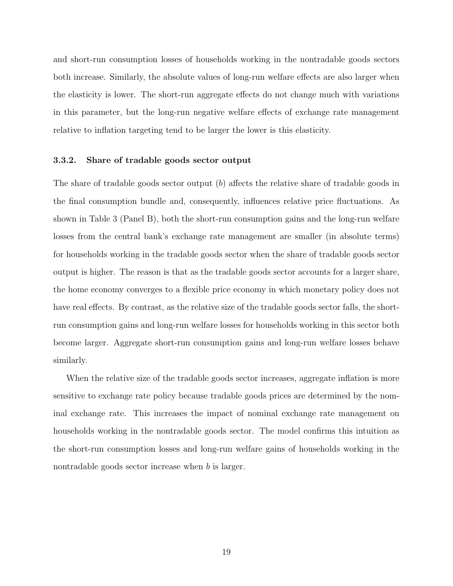and short-run consumption losses of households working in the nontradable goods sectors both increase. Similarly, the absolute values of long-run welfare effects are also larger when the elasticity is lower. The short-run aggregate effects do not change much with variations in this parameter, but the long-run negative welfare effects of exchange rate management relative to inflation targeting tend to be larger the lower is this elasticity.

#### 3.3.2. Share of tradable goods sector output

The share of tradable goods sector output  $(b)$  affects the relative share of tradable goods in the final consumption bundle and, consequently, influences relative price fluctuations. As shown in Table 3 (Panel B), both the short-run consumption gains and the long-run welfare losses from the central bank's exchange rate management are smaller (in absolute terms) for households working in the tradable goods sector when the share of tradable goods sector output is higher. The reason is that as the tradable goods sector accounts for a larger share, the home economy converges to a flexible price economy in which monetary policy does not have real effects. By contrast, as the relative size of the tradable goods sector falls, the shortrun consumption gains and long-run welfare losses for households working in this sector both become larger. Aggregate short-run consumption gains and long-run welfare losses behave similarly.

When the relative size of the tradable goods sector increases, aggregate inflation is more sensitive to exchange rate policy because tradable goods prices are determined by the nominal exchange rate. This increases the impact of nominal exchange rate management on households working in the nontradable goods sector. The model confirms this intuition as the short-run consumption losses and long-run welfare gains of households working in the nontradable goods sector increase when b is larger.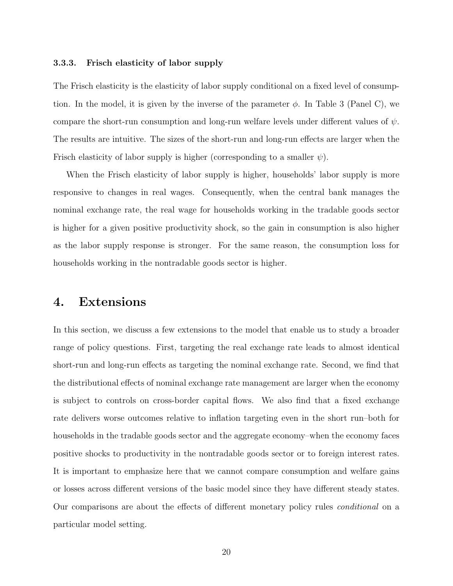#### 3.3.3. Frisch elasticity of labor supply

The Frisch elasticity is the elasticity of labor supply conditional on a fixed level of consumption. In the model, it is given by the inverse of the parameter  $\phi$ . In Table 3 (Panel C), we compare the short-run consumption and long-run welfare levels under different values of  $\psi$ . The results are intuitive. The sizes of the short-run and long-run effects are larger when the Frisch elasticity of labor supply is higher (corresponding to a smaller  $\psi$ ).

When the Frisch elasticity of labor supply is higher, households' labor supply is more responsive to changes in real wages. Consequently, when the central bank manages the nominal exchange rate, the real wage for households working in the tradable goods sector is higher for a given positive productivity shock, so the gain in consumption is also higher as the labor supply response is stronger. For the same reason, the consumption loss for households working in the nontradable goods sector is higher.

### 4. Extensions

In this section, we discuss a few extensions to the model that enable us to study a broader range of policy questions. First, targeting the real exchange rate leads to almost identical short-run and long-run effects as targeting the nominal exchange rate. Second, we find that the distributional effects of nominal exchange rate management are larger when the economy is subject to controls on cross-border capital flows. We also find that a fixed exchange rate delivers worse outcomes relative to inflation targeting even in the short run–both for households in the tradable goods sector and the aggregate economy–when the economy faces positive shocks to productivity in the nontradable goods sector or to foreign interest rates. It is important to emphasize here that we cannot compare consumption and welfare gains or losses across different versions of the basic model since they have different steady states. Our comparisons are about the effects of different monetary policy rules conditional on a particular model setting.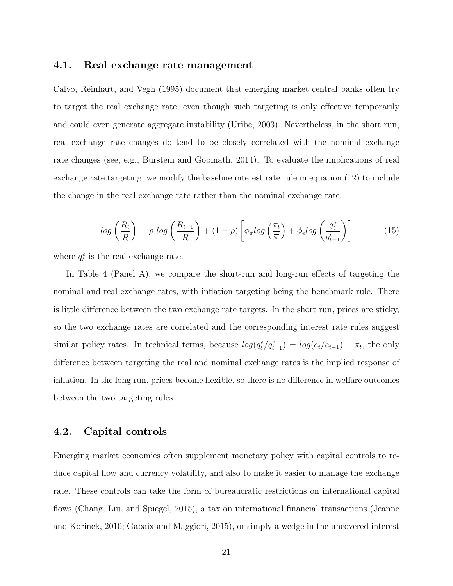#### 4.1. Real exchange rate management

Calvo, Reinhart, and Vegh (1995) document that emerging market central banks often try to target the real exchange rate, even though such targeting is only effective temporarily and could even generate aggregate instability (Uribe, 2003). Nevertheless, in the short run, real exchange rate changes do tend to be closely correlated with the nominal exchange rate changes (see, e.g., Burstein and Gopinath, 2014). To evaluate the implications of real exchange rate targeting, we modify the baseline interest rate rule in equation (12) to include the change in the real exchange rate rather than the nominal exchange rate:

$$
log\left(\frac{R_t}{\overline{R}}\right) = \rho log\left(\frac{R_{t-1}}{\overline{R}}\right) + (1-\rho)\left[\phi_\pi log\left(\frac{\pi_t}{\overline{\pi}}\right) + \phi_e log\left(\frac{q_t^e}{q_{t-1}^e}\right)\right]
$$
(15)

where  $q_t^e$  is the real exchange rate.

In Table 4 (Panel A), we compare the short-run and long-run effects of targeting the nominal and real exchange rates, with inflation targeting being the benchmark rule. There is little difference between the two exchange rate targets. In the short run, prices are sticky, so the two exchange rates are correlated and the corresponding interest rate rules suggest similar policy rates. In technical terms, because  $log(q_t^e/q_{t-1}^e) = log(e_t/e_{t-1}) - \pi_t$ , the only difference between targeting the real and nominal exchange rates is the implied response of inflation. In the long run, prices become flexible, so there is no difference in welfare outcomes between the two targeting rules.

#### 4.2. Capital controls

Emerging market economies often supplement monetary policy with capital controls to reduce capital flow and currency volatility, and also to make it easier to manage the exchange rate. These controls can take the form of bureaucratic restrictions on international capital flows (Chang, Liu, and Spiegel, 2015), a tax on international financial transactions (Jeanne and Korinek, 2010; Gabaix and Maggiori, 2015), or simply a wedge in the uncovered interest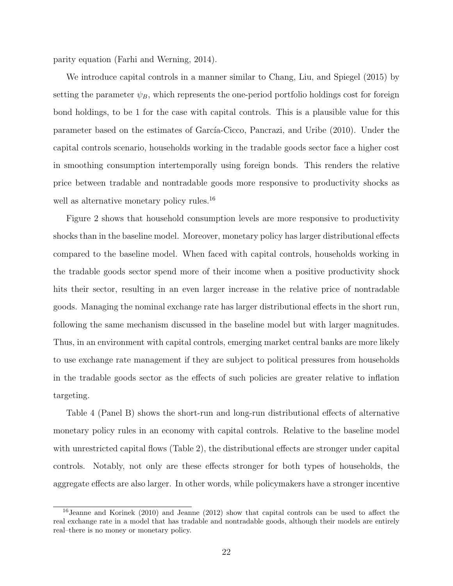parity equation (Farhi and Werning, 2014).

We introduce capital controls in a manner similar to Chang, Liu, and Spiegel (2015) by setting the parameter  $\psi_B$ , which represents the one-period portfolio holdings cost for foreign bond holdings, to be 1 for the case with capital controls. This is a plausible value for this parameter based on the estimates of García-Cicco, Pancrazi, and Uribe (2010). Under the capital controls scenario, households working in the tradable goods sector face a higher cost in smoothing consumption intertemporally using foreign bonds. This renders the relative price between tradable and nontradable goods more responsive to productivity shocks as well as alternative monetary policy rules.<sup>16</sup>

Figure 2 shows that household consumption levels are more responsive to productivity shocks than in the baseline model. Moreover, monetary policy has larger distributional effects compared to the baseline model. When faced with capital controls, households working in the tradable goods sector spend more of their income when a positive productivity shock hits their sector, resulting in an even larger increase in the relative price of nontradable goods. Managing the nominal exchange rate has larger distributional effects in the short run, following the same mechanism discussed in the baseline model but with larger magnitudes. Thus, in an environment with capital controls, emerging market central banks are more likely to use exchange rate management if they are subject to political pressures from households in the tradable goods sector as the effects of such policies are greater relative to inflation targeting.

Table 4 (Panel B) shows the short-run and long-run distributional effects of alternative monetary policy rules in an economy with capital controls. Relative to the baseline model with unrestricted capital flows (Table 2), the distributional effects are stronger under capital controls. Notably, not only are these effects stronger for both types of households, the aggregate effects are also larger. In other words, while policymakers have a stronger incentive

<sup>16</sup>Jeanne and Korinek (2010) and Jeanne (2012) show that capital controls can be used to affect the real exchange rate in a model that has tradable and nontradable goods, although their models are entirely real–there is no money or monetary policy.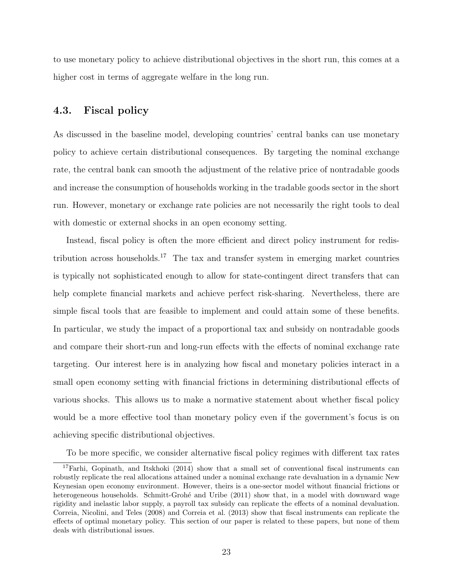to use monetary policy to achieve distributional objectives in the short run, this comes at a higher cost in terms of aggregate welfare in the long run.

### 4.3. Fiscal policy

As discussed in the baseline model, developing countries' central banks can use monetary policy to achieve certain distributional consequences. By targeting the nominal exchange rate, the central bank can smooth the adjustment of the relative price of nontradable goods and increase the consumption of households working in the tradable goods sector in the short run. However, monetary or exchange rate policies are not necessarily the right tools to deal with domestic or external shocks in an open economy setting.

Instead, fiscal policy is often the more efficient and direct policy instrument for redistribution across households.<sup>17</sup> The tax and transfer system in emerging market countries is typically not sophisticated enough to allow for state-contingent direct transfers that can help complete financial markets and achieve perfect risk-sharing. Nevertheless, there are simple fiscal tools that are feasible to implement and could attain some of these benefits. In particular, we study the impact of a proportional tax and subsidy on nontradable goods and compare their short-run and long-run effects with the effects of nominal exchange rate targeting. Our interest here is in analyzing how fiscal and monetary policies interact in a small open economy setting with financial frictions in determining distributional effects of various shocks. This allows us to make a normative statement about whether fiscal policy would be a more effective tool than monetary policy even if the government's focus is on achieving specific distributional objectives.

To be more specific, we consider alternative fiscal policy regimes with different tax rates

 $17$ Farhi, Gopinath, and Itskhoki (2014) show that a small set of conventional fiscal instruments can robustly replicate the real allocations attained under a nominal exchange rate devaluation in a dynamic New Keynesian open economy environment. However, theirs is a one-sector model without financial frictions or heterogeneous households. Schmitt-Grohé and Uribe (2011) show that, in a model with downward wage rigidity and inelastic labor supply, a payroll tax subsidy can replicate the effects of a nominal devaluation. Correia, Nicolini, and Teles (2008) and Correia et al. (2013) show that fiscal instruments can replicate the effects of optimal monetary policy. This section of our paper is related to these papers, but none of them deals with distributional issues.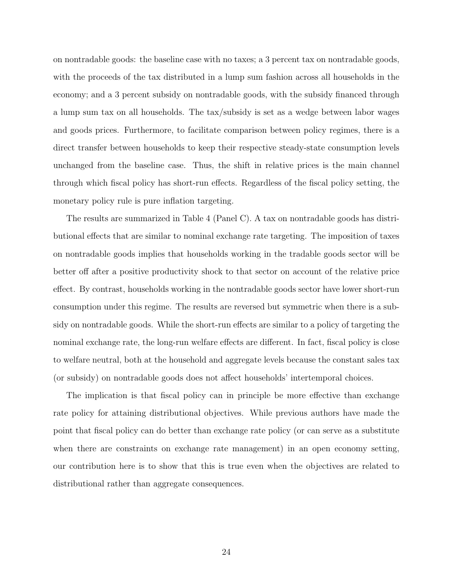on nontradable goods: the baseline case with no taxes; a 3 percent tax on nontradable goods, with the proceeds of the tax distributed in a lump sum fashion across all households in the economy; and a 3 percent subsidy on nontradable goods, with the subsidy financed through a lump sum tax on all households. The tax/subsidy is set as a wedge between labor wages and goods prices. Furthermore, to facilitate comparison between policy regimes, there is a direct transfer between households to keep their respective steady-state consumption levels unchanged from the baseline case. Thus, the shift in relative prices is the main channel through which fiscal policy has short-run effects. Regardless of the fiscal policy setting, the monetary policy rule is pure inflation targeting.

The results are summarized in Table 4 (Panel C). A tax on nontradable goods has distributional effects that are similar to nominal exchange rate targeting. The imposition of taxes on nontradable goods implies that households working in the tradable goods sector will be better off after a positive productivity shock to that sector on account of the relative price effect. By contrast, households working in the nontradable goods sector have lower short-run consumption under this regime. The results are reversed but symmetric when there is a subsidy on nontradable goods. While the short-run effects are similar to a policy of targeting the nominal exchange rate, the long-run welfare effects are different. In fact, fiscal policy is close to welfare neutral, both at the household and aggregate levels because the constant sales tax (or subsidy) on nontradable goods does not affect households' intertemporal choices.

The implication is that fiscal policy can in principle be more effective than exchange rate policy for attaining distributional objectives. While previous authors have made the point that fiscal policy can do better than exchange rate policy (or can serve as a substitute when there are constraints on exchange rate management) in an open economy setting, our contribution here is to show that this is true even when the objectives are related to distributional rather than aggregate consequences.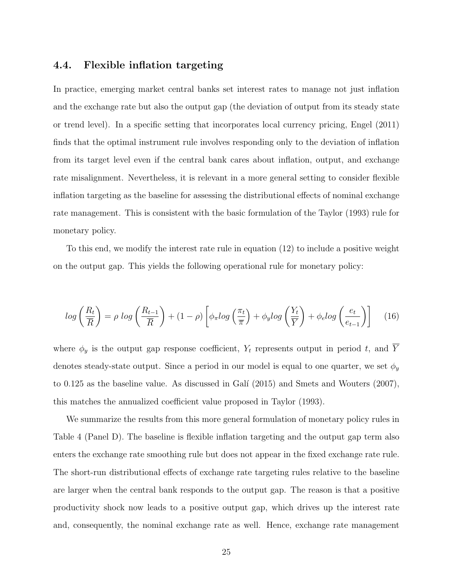### 4.4. Flexible inflation targeting

In practice, emerging market central banks set interest rates to manage not just inflation and the exchange rate but also the output gap (the deviation of output from its steady state or trend level). In a specific setting that incorporates local currency pricing, Engel (2011) finds that the optimal instrument rule involves responding only to the deviation of inflation from its target level even if the central bank cares about inflation, output, and exchange rate misalignment. Nevertheless, it is relevant in a more general setting to consider flexible inflation targeting as the baseline for assessing the distributional effects of nominal exchange rate management. This is consistent with the basic formulation of the Taylor (1993) rule for monetary policy.

To this end, we modify the interest rate rule in equation (12) to include a positive weight on the output gap. This yields the following operational rule for monetary policy:

$$
log\left(\frac{R_t}{\overline{R}}\right) = \rho log\left(\frac{R_{t-1}}{\overline{R}}\right) + (1-\rho)\left[\phi_\pi log\left(\frac{\pi_t}{\overline{\pi}}\right) + \phi_y log\left(\frac{Y_t}{\overline{Y}}\right) + \phi_e log\left(\frac{e_t}{e_{t-1}}\right)\right] \tag{16}
$$

where  $\phi_y$  is the output gap response coefficient,  $Y_t$  represents output in period t, and  $\overline{Y}$ denotes steady-state output. Since a period in our model is equal to one quarter, we set  $\phi_u$ to  $0.125$  as the baseline value. As discussed in Galí  $(2015)$  and Smets and Wouters  $(2007)$ , this matches the annualized coefficient value proposed in Taylor (1993).

We summarize the results from this more general formulation of monetary policy rules in Table 4 (Panel D). The baseline is flexible inflation targeting and the output gap term also enters the exchange rate smoothing rule but does not appear in the fixed exchange rate rule. The short-run distributional effects of exchange rate targeting rules relative to the baseline are larger when the central bank responds to the output gap. The reason is that a positive productivity shock now leads to a positive output gap, which drives up the interest rate and, consequently, the nominal exchange rate as well. Hence, exchange rate management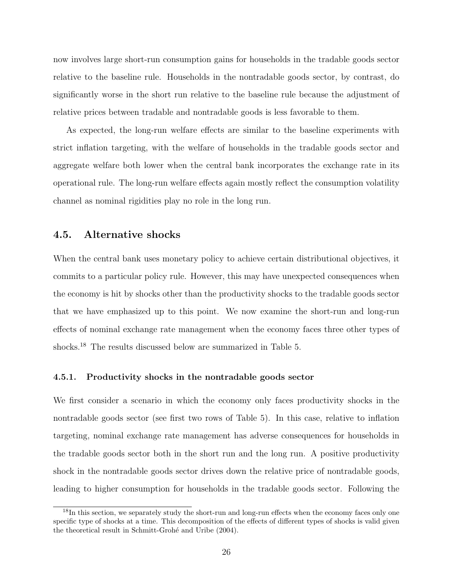now involves large short-run consumption gains for households in the tradable goods sector relative to the baseline rule. Households in the nontradable goods sector, by contrast, do significantly worse in the short run relative to the baseline rule because the adjustment of relative prices between tradable and nontradable goods is less favorable to them.

As expected, the long-run welfare effects are similar to the baseline experiments with strict inflation targeting, with the welfare of households in the tradable goods sector and aggregate welfare both lower when the central bank incorporates the exchange rate in its operational rule. The long-run welfare effects again mostly reflect the consumption volatility channel as nominal rigidities play no role in the long run.

#### 4.5. Alternative shocks

When the central bank uses monetary policy to achieve certain distributional objectives, it commits to a particular policy rule. However, this may have unexpected consequences when the economy is hit by shocks other than the productivity shocks to the tradable goods sector that we have emphasized up to this point. We now examine the short-run and long-run effects of nominal exchange rate management when the economy faces three other types of shocks.<sup>18</sup> The results discussed below are summarized in Table 5.

#### 4.5.1. Productivity shocks in the nontradable goods sector

We first consider a scenario in which the economy only faces productivity shocks in the nontradable goods sector (see first two rows of Table 5). In this case, relative to inflation targeting, nominal exchange rate management has adverse consequences for households in the tradable goods sector both in the short run and the long run. A positive productivity shock in the nontradable goods sector drives down the relative price of nontradable goods, leading to higher consumption for households in the tradable goods sector. Following the

<sup>&</sup>lt;sup>18</sup>In this section, we separately study the short-run and long-run effects when the economy faces only one specific type of shocks at a time. This decomposition of the effects of different types of shocks is valid given the theoretical result in Schmitt-Grohé and Uribe (2004).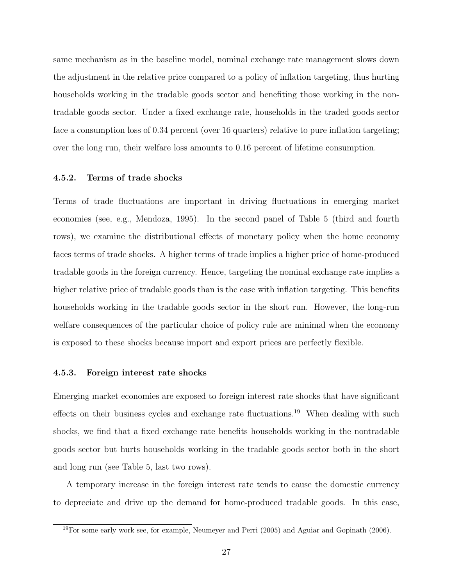same mechanism as in the baseline model, nominal exchange rate management slows down the adjustment in the relative price compared to a policy of inflation targeting, thus hurting households working in the tradable goods sector and benefiting those working in the nontradable goods sector. Under a fixed exchange rate, households in the traded goods sector face a consumption loss of 0.34 percent (over 16 quarters) relative to pure inflation targeting; over the long run, their welfare loss amounts to 0.16 percent of lifetime consumption.

#### 4.5.2. Terms of trade shocks

Terms of trade fluctuations are important in driving fluctuations in emerging market economies (see, e.g., Mendoza, 1995). In the second panel of Table 5 (third and fourth rows), we examine the distributional effects of monetary policy when the home economy faces terms of trade shocks. A higher terms of trade implies a higher price of home-produced tradable goods in the foreign currency. Hence, targeting the nominal exchange rate implies a higher relative price of tradable goods than is the case with inflation targeting. This benefits households working in the tradable goods sector in the short run. However, the long-run welfare consequences of the particular choice of policy rule are minimal when the economy is exposed to these shocks because import and export prices are perfectly flexible.

#### 4.5.3. Foreign interest rate shocks

Emerging market economies are exposed to foreign interest rate shocks that have significant effects on their business cycles and exchange rate fluctuations.<sup>19</sup> When dealing with such shocks, we find that a fixed exchange rate benefits households working in the nontradable goods sector but hurts households working in the tradable goods sector both in the short and long run (see Table 5, last two rows).

A temporary increase in the foreign interest rate tends to cause the domestic currency to depreciate and drive up the demand for home-produced tradable goods. In this case,

 $19$ For some early work see, for example, Neumeyer and Perri (2005) and Aguiar and Gopinath (2006).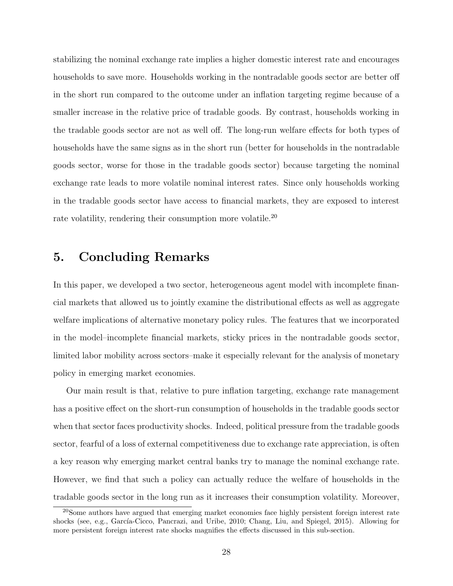stabilizing the nominal exchange rate implies a higher domestic interest rate and encourages households to save more. Households working in the nontradable goods sector are better off in the short run compared to the outcome under an inflation targeting regime because of a smaller increase in the relative price of tradable goods. By contrast, households working in the tradable goods sector are not as well off. The long-run welfare effects for both types of households have the same signs as in the short run (better for households in the nontradable goods sector, worse for those in the tradable goods sector) because targeting the nominal exchange rate leads to more volatile nominal interest rates. Since only households working in the tradable goods sector have access to financial markets, they are exposed to interest rate volatility, rendering their consumption more volatile.<sup>20</sup>

## 5. Concluding Remarks

In this paper, we developed a two sector, heterogeneous agent model with incomplete financial markets that allowed us to jointly examine the distributional effects as well as aggregate welfare implications of alternative monetary policy rules. The features that we incorporated in the model–incomplete financial markets, sticky prices in the nontradable goods sector, limited labor mobility across sectors–make it especially relevant for the analysis of monetary policy in emerging market economies.

Our main result is that, relative to pure inflation targeting, exchange rate management has a positive effect on the short-run consumption of households in the tradable goods sector when that sector faces productivity shocks. Indeed, political pressure from the tradable goods sector, fearful of a loss of external competitiveness due to exchange rate appreciation, is often a key reason why emerging market central banks try to manage the nominal exchange rate. However, we find that such a policy can actually reduce the welfare of households in the tradable goods sector in the long run as it increases their consumption volatility. Moreover,

<sup>20</sup>Some authors have argued that emerging market economies face highly persistent foreign interest rate shocks (see, e.g., García-Cicco, Pancrazi, and Uribe, 2010; Chang, Liu, and Spiegel, 2015). Allowing for more persistent foreign interest rate shocks magnifies the effects discussed in this sub-section.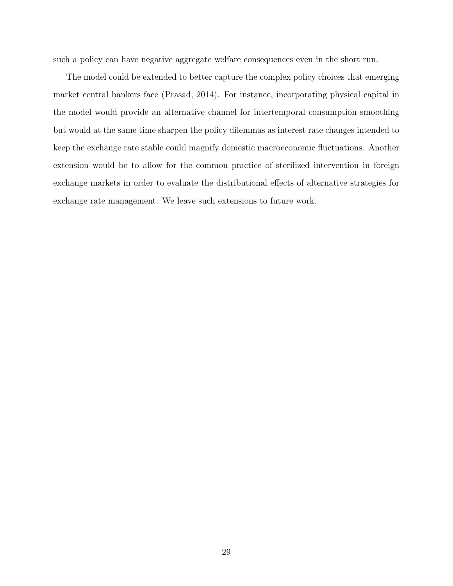such a policy can have negative aggregate welfare consequences even in the short run.

The model could be extended to better capture the complex policy choices that emerging market central bankers face (Prasad, 2014). For instance, incorporating physical capital in the model would provide an alternative channel for intertemporal consumption smoothing but would at the same time sharpen the policy dilemmas as interest rate changes intended to keep the exchange rate stable could magnify domestic macroeconomic fluctuations. Another extension would be to allow for the common practice of sterilized intervention in foreign exchange markets in order to evaluate the distributional effects of alternative strategies for exchange rate management. We leave such extensions to future work.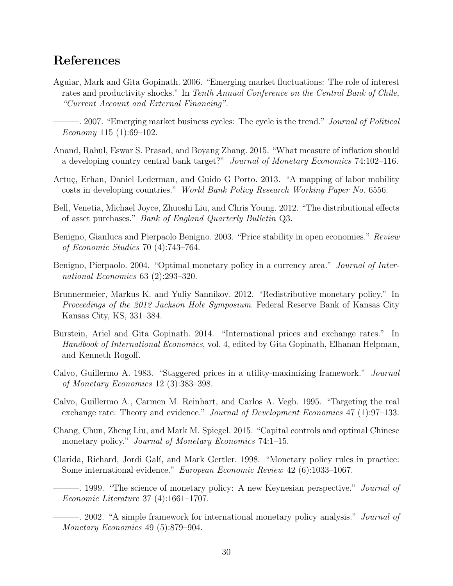### References

- Aguiar, Mark and Gita Gopinath. 2006. "Emerging market fluctuations: The role of interest rates and productivity shocks." In Tenth Annual Conference on the Central Bank of Chile, "Current Account and External Financing".
	- –. 2007. "Emerging market business cycles: The cycle is the trend." *Journal of Political* Economy 115  $(1):69-102$ .
- Anand, Rahul, Eswar S. Prasad, and Boyang Zhang. 2015. "What measure of inflation should a developing country central bank target?" Journal of Monetary Economics 74:102–116.
- Artuç, Erhan, Daniel Lederman, and Guido G Porto. 2013. "A mapping of labor mobility costs in developing countries." World Bank Policy Research Working Paper No. 6556.
- Bell, Venetia, Michael Joyce, Zhuoshi Liu, and Chris Young. 2012. "The distributional effects of asset purchases." Bank of England Quarterly Bulletin Q3.
- Benigno, Gianluca and Pierpaolo Benigno. 2003. "Price stability in open economies." Review of Economic Studies 70 (4):743–764.
- Benigno, Pierpaolo. 2004. "Optimal monetary policy in a currency area." *Journal of Inter*national Economics 63 (2):293–320.
- Brunnermeier, Markus K. and Yuliy Sannikov. 2012. "Redistributive monetary policy." In Proceedings of the 2012 Jackson Hole Symposium. Federal Reserve Bank of Kansas City Kansas City, KS, 331–384.
- Burstein, Ariel and Gita Gopinath. 2014. "International prices and exchange rates." In Handbook of International Economics, vol. 4, edited by Gita Gopinath, Elhanan Helpman, and Kenneth Rogoff.
- Calvo, Guillermo A. 1983. "Staggered prices in a utility-maximizing framework." Journal of Monetary Economics 12 (3):383–398.
- Calvo, Guillermo A., Carmen M. Reinhart, and Carlos A. Vegh. 1995. "Targeting the real exchange rate: Theory and evidence." Journal of Development Economics 47 (1):97–133.
- Chang, Chun, Zheng Liu, and Mark M. Spiegel. 2015. "Capital controls and optimal Chinese monetary policy." *Journal of Monetary Economics* 74:1–15.
- Clarida, Richard, Jordi Gal´ı, and Mark Gertler. 1998. "Monetary policy rules in practice: Some international evidence." European Economic Review 42 (6):1033–1067.
	- —. 1999. "The science of monetary policy: A new Keynesian perspective." *Journal of* Economic Literature 37 (4):1661–1707.

———. 2002. "A simple framework for international monetary policy analysis." Journal of Monetary Economics 49 (5):879–904.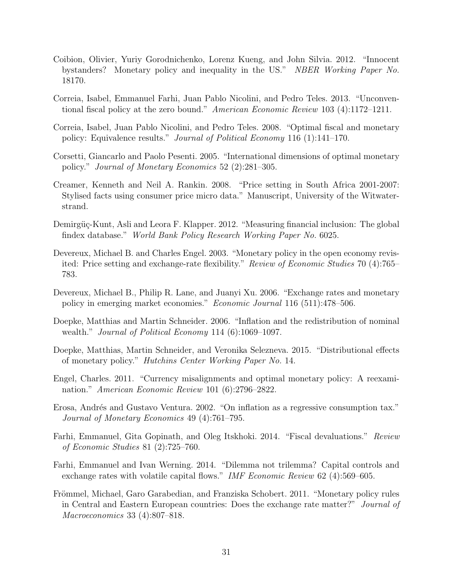- Coibion, Olivier, Yuriy Gorodnichenko, Lorenz Kueng, and John Silvia. 2012. "Innocent bystanders? Monetary policy and inequality in the US." NBER Working Paper No. 18170.
- Correia, Isabel, Emmanuel Farhi, Juan Pablo Nicolini, and Pedro Teles. 2013. "Unconventional fiscal policy at the zero bound." American Economic Review 103 (4):1172–1211.
- Correia, Isabel, Juan Pablo Nicolini, and Pedro Teles. 2008. "Optimal fiscal and monetary policy: Equivalence results." Journal of Political Economy 116 (1):141–170.
- Corsetti, Giancarlo and Paolo Pesenti. 2005. "International dimensions of optimal monetary policy." Journal of Monetary Economics 52 (2):281–305.
- Creamer, Kenneth and Neil A. Rankin. 2008. "Price setting in South Africa 2001-2007: Stylised facts using consumer price micro data." Manuscript, University of the Witwaterstrand.
- Demirgüç-Kunt, Asli and Leora F. Klapper. 2012. "Measuring financial inclusion: The global findex database." World Bank Policy Research Working Paper No. 6025.
- Devereux, Michael B. and Charles Engel. 2003. "Monetary policy in the open economy revisited: Price setting and exchange-rate flexibility." Review of Economic Studies 70 (4):765– 783.
- Devereux, Michael B., Philip R. Lane, and Juanyi Xu. 2006. "Exchange rates and monetary policy in emerging market economies." Economic Journal 116 (511):478–506.
- Doepke, Matthias and Martin Schneider. 2006. "Inflation and the redistribution of nominal wealth." *Journal of Political Economy* 114 (6):1069–1097.
- Doepke, Matthias, Martin Schneider, and Veronika Selezneva. 2015. "Distributional effects of monetary policy." Hutchins Center Working Paper No. 14.
- Engel, Charles. 2011. "Currency misalignments and optimal monetary policy: A reexamination." American Economic Review 101 (6):2796–2822.
- Erosa, Andrés and Gustavo Ventura. 2002. "On inflation as a regressive consumption tax." Journal of Monetary Economics 49 (4):761–795.
- Farhi, Emmanuel, Gita Gopinath, and Oleg Itskhoki. 2014. "Fiscal devaluations." Review of Economic Studies 81 (2):725–760.
- Farhi, Emmanuel and Ivan Werning. 2014. "Dilemma not trilemma? Capital controls and exchange rates with volatile capital flows." IMF Economic Review 62 (4):569-605.
- Frömmel, Michael, Garo Garabedian, and Franziska Schobert. 2011. "Monetary policy rules in Central and Eastern European countries: Does the exchange rate matter?" Journal of Macroeconomics 33 (4):807–818.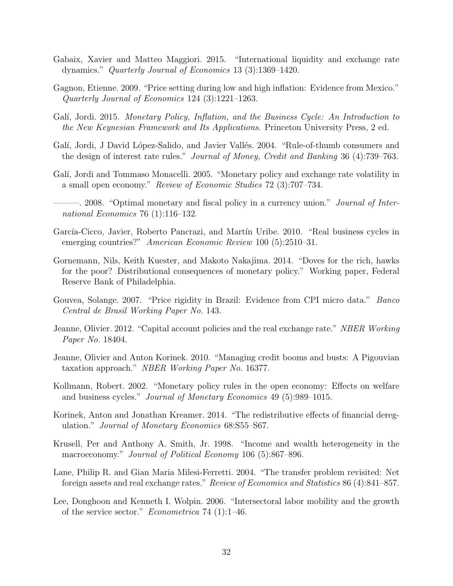- Gabaix, Xavier and Matteo Maggiori. 2015. "International liquidity and exchange rate dynamics." Quarterly Journal of Economics 13 (3):1369–1420.
- Gagnon, Etienne. 2009. "Price setting during low and high inflation: Evidence from Mexico." Quarterly Journal of Economics 124 (3):1221–1263.
- Galí, Jordi. 2015. Monetary Policy, Inflation, and the Business Cycle: An Introduction to the New Keynesian Framework and Its Applications. Princeton University Press, 2 ed.
- Galí, Jordi, J David López-Salido, and Javier Vallés. 2004. "Rule-of-thumb consumers and the design of interest rate rules." Journal of Money, Credit and Banking 36 (4):739–763.
- Galí, Jordi and Tommaso Monacelli. 2005. "Monetary policy and exchange rate volatility in a small open economy." Review of Economic Studies 72 (3):707–734.
- 2008. "Optimal monetary and fiscal policy in a currency union." *Journal of Inter*national Economics 76 (1):116–132.
- García-Cicco, Javier, Roberto Pancrazi, and Martín Uribe. 2010. "Real business cycles in emerging countries?" American Economic Review 100 (5):2510-31.
- Gornemann, Nils, Keith Kuester, and Makoto Nakajima. 2014. "Doves for the rich, hawks for the poor? Distributional consequences of monetary policy." Working paper, Federal Reserve Bank of Philadelphia.
- Gouvea, Solange. 2007. "Price rigidity in Brazil: Evidence from CPI micro data." Banco Central de Brasil Working Paper No. 143.
- Jeanne, Olivier. 2012. "Capital account policies and the real exchange rate." NBER Working Paper No. 18404.
- Jeanne, Olivier and Anton Korinek. 2010. "Managing credit booms and busts: A Pigouvian taxation approach." NBER Working Paper No. 16377.
- Kollmann, Robert. 2002. "Monetary policy rules in the open economy: Effects on welfare and business cycles." Journal of Monetary Economics 49 (5):989–1015.
- Korinek, Anton and Jonathan Kreamer. 2014. "The redistributive effects of financial deregulation." Journal of Monetary Economics 68:S55–S67.
- Krusell, Per and Anthony A. Smith, Jr. 1998. "Income and wealth heterogeneity in the macroeconomy." Journal of Political Economy 106 (5):867–896.
- Lane, Philip R. and Gian Maria Milesi-Ferretti. 2004. "The transfer problem revisited: Net foreign assets and real exchange rates." Review of Economics and Statistics 86 (4):841–857.
- Lee, Donghoon and Kenneth I. Wolpin. 2006. "Intersectoral labor mobility and the growth of the service sector." Econometrica 74 (1):1–46.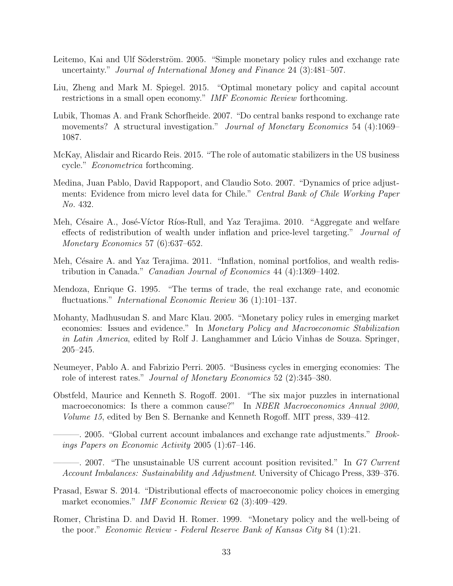- Leitemo, Kai and Ulf Söderström. 2005. "Simple monetary policy rules and exchange rate uncertainty." Journal of International Money and Finance 24 (3):481–507.
- Liu, Zheng and Mark M. Spiegel. 2015. "Optimal monetary policy and capital account restrictions in a small open economy." IMF Economic Review forthcoming.
- Lubik, Thomas A. and Frank Schorfheide. 2007. "Do central banks respond to exchange rate movements? A structural investigation." Journal of Monetary Economics 54 (4):1069– 1087.
- McKay, Alisdair and Ricardo Reis. 2015. "The role of automatic stabilizers in the US business cycle." Econometrica forthcoming.
- Medina, Juan Pablo, David Rappoport, and Claudio Soto. 2007. "Dynamics of price adjustments: Evidence from micro level data for Chile." Central Bank of Chile Working Paper No. 432.
- Meh, Césaire A., José-Víctor Ríos-Rull, and Yaz Terajima. 2010. "Aggregate and welfare effects of redistribution of wealth under inflation and price-level targeting." Journal of Monetary Economics 57 (6):637–652.
- Meh, Césaire A. and Yaz Terajima. 2011. "Inflation, nominal portfolios, and wealth redistribution in Canada." Canadian Journal of Economics 44 (4):1369–1402.
- Mendoza, Enrique G. 1995. "The terms of trade, the real exchange rate, and economic fluctuations." *International Economic Review* 36 (1):101–137.
- Mohanty, Madhusudan S. and Marc Klau. 2005. "Monetary policy rules in emerging market economies: Issues and evidence." In Monetary Policy and Macroeconomic Stabilization in Latin America, edited by Rolf J. Langhammer and Lúcio Vinhas de Souza. Springer, 205–245.
- Neumeyer, Pablo A. and Fabrizio Perri. 2005. "Business cycles in emerging economies: The role of interest rates." Journal of Monetary Economics 52 (2):345–380.
- Obstfeld, Maurice and Kenneth S. Rogoff. 2001. "The six major puzzles in international macroeconomics: Is there a common cause?" In NBER Macroeconomics Annual 2000, Volume 15, edited by Ben S. Bernanke and Kenneth Rogoff. MIT press, 339–412.
- —. 2005. "Global current account imbalances and exchange rate adjustments." *Brook*ings Papers on Economic Activity 2005 (1):67–146.
- 2007. "The unsustainable US current account position revisited." In G7 Current Account Imbalances: Sustainability and Adjustment. University of Chicago Press, 339–376.
- Prasad, Eswar S. 2014. "Distributional effects of macroeconomic policy choices in emerging market economies." IMF Economic Review 62 (3):409–429.
- Romer, Christina D. and David H. Romer. 1999. "Monetary policy and the well-being of the poor." Economic Review - Federal Reserve Bank of Kansas City 84 (1):21.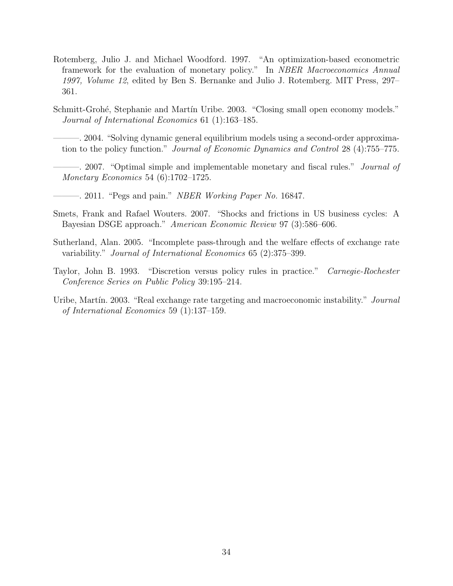- Rotemberg, Julio J. and Michael Woodford. 1997. "An optimization-based econometric framework for the evaluation of monetary policy." In NBER Macroeconomics Annual 1997, Volume 12, edited by Ben S. Bernanke and Julio J. Rotemberg. MIT Press, 297– 361.
- Schmitt-Grohé, Stephanie and Martín Uribe. 2003. "Closing small open economy models." Journal of International Economics 61 (1):163–185.

———. 2004. "Solving dynamic general equilibrium models using a second-order approximation to the policy function." Journal of Economic Dynamics and Control 28 (4):755–775.

- ———. 2007. "Optimal simple and implementable monetary and fiscal rules." Journal of Monetary Economics 54 (6):1702–1725.
- $-$ . 2011. "Pegs and pain." *NBER Working Paper No.* 16847.
- Smets, Frank and Rafael Wouters. 2007. "Shocks and frictions in US business cycles: A Bayesian DSGE approach." American Economic Review 97 (3):586–606.
- Sutherland, Alan. 2005. "Incomplete pass-through and the welfare effects of exchange rate variability." Journal of International Economics 65 (2):375–399.
- Taylor, John B. 1993. "Discretion versus policy rules in practice." Carnegie-Rochester Conference Series on Public Policy 39:195–214.
- Uribe, Martín. 2003. "Real exchange rate targeting and macroeconomic instability." Journal of International Economics 59 (1):137–159.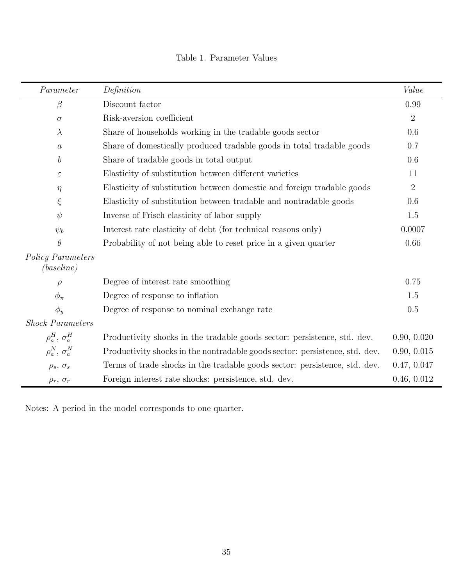| Parameter                              | Definition                                                                  | Value          |
|----------------------------------------|-----------------------------------------------------------------------------|----------------|
| $\beta$                                | Discount factor                                                             | 0.99           |
| $\sigma$                               | Risk-aversion coefficient                                                   | $\overline{2}$ |
| $\lambda$                              | Share of households working in the tradable goods sector                    | 0.6            |
| $\boldsymbol{a}$                       | Share of domestically produced tradable goods in total tradable goods       | 0.7            |
| $\boldsymbol{b}$                       | Share of tradable goods in total output                                     | 0.6            |
| $\varepsilon$                          | Elasticity of substitution between different varieties                      | 11             |
| $\eta$                                 | Elasticity of substitution between domestic and foreign tradable goods      | $\overline{2}$ |
| $\xi$                                  | Elasticity of substitution between tradable and nontradable goods           | 0.6            |
| $\psi$                                 | Inverse of Frisch elasticity of labor supply                                | 1.5            |
| $\psi_b$                               | Interest rate elasticity of debt (for technical reasons only)               | 0.0007         |
| $\theta$                               | Probability of not being able to reset price in a given quarter             | 0.66           |
| <b>Policy Parameters</b><br>(baseline) |                                                                             |                |
| $\rho$                                 | Degree of interest rate smoothing                                           | 0.75           |
| $\phi_{\pi}$                           | Degree of response to inflation                                             | 1.5            |
| $\phi_y$                               | Degree of response to nominal exchange rate                                 | 0.5            |
| <b>Shock Parameters</b>                |                                                                             |                |
| $\rho_a^H$ , $\sigma_a^H$              | Productivity shocks in the tradable goods sector: persistence, std. dev.    | 0.90, 0.020    |
| $\rho_a^N$ , $\sigma_a^N$              | Productivity shocks in the nontradable goods sector: persistence, std. dev. | 0.90, 0.015    |
| $\rho_s$ , $\sigma_s$                  | Terms of trade shocks in the tradable goods sector: persistence, std. dev.  | 0.47, 0.047    |
| $\rho_r$ , $\sigma_r$                  | Foreign interest rate shocks: persistence, std. dev.                        | 0.46, 0.012    |

Table 1. Parameter Values

Notes: A period in the model corresponds to one quarter.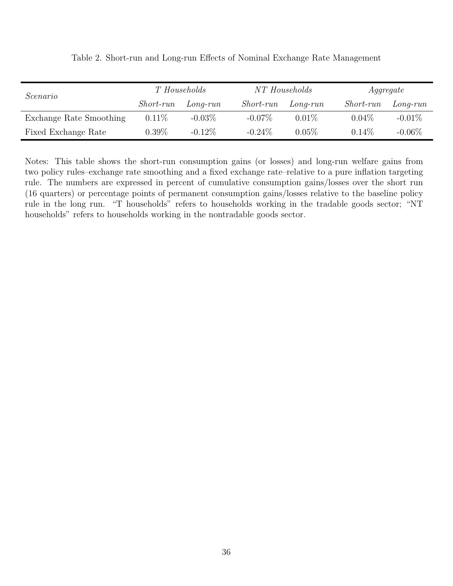| Scenario                | T Households     |            | NT Households    |            | Aggregate        |            |
|-------------------------|------------------|------------|------------------|------------|------------------|------------|
|                         | <i>Short-run</i> | $Long-run$ | <i>Short-run</i> | $Long-run$ | <i>Short-run</i> | $Long-run$ |
| Exchange Rate Smoothing | $0.11\%$         | $-0.03\%$  | $-0.07\%$        | $0.01\%$   | $0.04\%$         | $-0.01\%$  |
| Fixed Exchange Rate     | $0.39\%$         | $-0.12\%$  | $-0.24\%$        | $0.05\%$   | $0.14\%$         | $-0.06\%$  |

Table 2. Short-run and Long-run Effects of Nominal Exchange Rate Management

Notes: This table shows the short-run consumption gains (or losses) and long-run welfare gains from two policy rules–exchange rate smoothing and a fixed exchange rate–relative to a pure inflation targeting rule. The numbers are expressed in percent of cumulative consumption gains/losses over the short run (16 quarters) or percentage points of permanent consumption gains/losses relative to the baseline policy rule in the long run. "T households" refers to households working in the tradable goods sector; "NT households" refers to households working in the nontradable goods sector.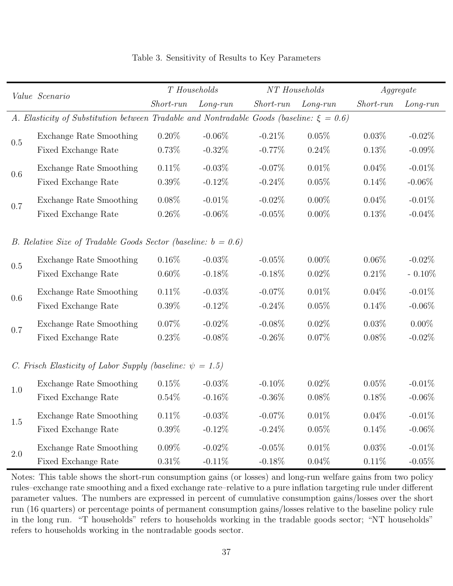| Value Scenario                                                                                |                                                                  | T Households |            | NT Households |            | Aggregate   |            |  |  |  |
|-----------------------------------------------------------------------------------------------|------------------------------------------------------------------|--------------|------------|---------------|------------|-------------|------------|--|--|--|
|                                                                                               |                                                                  | Short-run    | $Long-run$ | Short-run     | $Long-run$ | $Short-run$ | $Long-run$ |  |  |  |
| A. Elasticity of Substitution between Tradable and Nontradable Goods (baseline: $\xi = 0.6$ ) |                                                                  |              |            |               |            |             |            |  |  |  |
| 0.5                                                                                           | Exchange Rate Smoothing                                          | $0.20\%$     | $-0.06\%$  | $-0.21%$      | $0.05\%$   | 0.03%       | $-0.02\%$  |  |  |  |
|                                                                                               | Fixed Exchange Rate                                              | 0.73%        | $-0.32%$   | $-0.77\%$     | 0.24%      | 0.13%       | $-0.09\%$  |  |  |  |
|                                                                                               | Exchange Rate Smoothing                                          | $0.11\%$     | $-0.03%$   | $-0.07%$      | $0.01\%$   | $0.04\%$    | $-0.01%$   |  |  |  |
| 0.6                                                                                           | Fixed Exchange Rate                                              | $0.39\%$     | $-0.12\%$  | $-0.24\%$     | 0.05%      | $0.14\%$    | $-0.06\%$  |  |  |  |
|                                                                                               | Exchange Rate Smoothing                                          | $0.08\%$     | $-0.01%$   | $-0.02%$      | $0.00\%$   | $0.04\%$    | $-0.01\%$  |  |  |  |
| 0.7                                                                                           | Fixed Exchange Rate                                              | $0.26\%$     | $-0.06\%$  | $-0.05%$      | $0.00\%$   | 0.13%       | $-0.04\%$  |  |  |  |
|                                                                                               |                                                                  |              |            |               |            |             |            |  |  |  |
|                                                                                               | B. Relative Size of Tradable Goods Sector (baseline: $b = 0.6$ ) |              |            |               |            |             |            |  |  |  |
| 0.5                                                                                           | Exchange Rate Smoothing                                          | $0.16\%$     | $-0.03%$   | $-0.05%$      | $0.00\%$   | $0.06\%$    | $-0.02\%$  |  |  |  |
|                                                                                               | Fixed Exchange Rate                                              | $0.60\%$     | $-0.18\%$  | $-0.18%$      | $0.02\%$   | 0.21%       | $-0.10\%$  |  |  |  |
| 0.6                                                                                           | Exchange Rate Smoothing                                          | $0.11\%$     | $-0.03%$   | $-0.07%$      | $0.01\%$   | $0.04\%$    | $-0.01%$   |  |  |  |
|                                                                                               | Fixed Exchange Rate                                              | $0.39\%$     | $-0.12\%$  | $-0.24\%$     | 0.05%      | $0.14\%$    | $-0.06\%$  |  |  |  |
|                                                                                               | Exchange Rate Smoothing                                          | $0.07\%$     | $-0.02\%$  | $-0.08\%$     | $0.02\%$   | 0.03%       | $0.00\%$   |  |  |  |
| 0.7                                                                                           | Fixed Exchange Rate                                              | 0.23%        | $-0.08\%$  | $-0.26\%$     | 0.07%      | $0.08\%$    | $-0.02\%$  |  |  |  |
|                                                                                               |                                                                  |              |            |               |            |             |            |  |  |  |
|                                                                                               | C. Frisch Elasticity of Labor Supply (baseline: $\psi = 1.5$ )   |              |            |               |            |             |            |  |  |  |
| 1.0                                                                                           | Exchange Rate Smoothing                                          | 0.15%        | $-0.03\%$  | $-0.10\%$     | $0.02\%$   | 0.05%       | $-0.01\%$  |  |  |  |
|                                                                                               | Fixed Exchange Rate                                              | $0.54\%$     | $-0.16\%$  | $-0.36\%$     | 0.08%      | $0.18\%$    | $-0.06\%$  |  |  |  |
|                                                                                               | Exchange Rate Smoothing                                          | 0.11%        | $-0.03%$   | $-0.07%$      | 0.01%      | 0.04%       | $-0.01%$   |  |  |  |
| 1.5                                                                                           | Fixed Exchange Rate                                              | $0.39\%$     | $-0.12\%$  | $-0.24%$      | 0.05%      | $0.14\%$    | $-0.06\%$  |  |  |  |
| $2.0\,$                                                                                       | Exchange Rate Smoothing                                          | $0.09\%$     | $-0.02\%$  | $-0.05%$      | 0.01%      | 0.03%       | $-0.01%$   |  |  |  |
|                                                                                               | Fixed Exchange Rate                                              | $0.31\%$     | $-0.11\%$  | $-0.18\%$     | $0.04\%$   | 0.11%       | $-0.05%$   |  |  |  |

### Table 3. Sensitivity of Results to Key Parameters

Notes: This table shows the short-run consumption gains (or losses) and long-run welfare gains from two policy rules–exchange rate smoothing and a fixed exchange rate–relative to a pure inflation targeting rule under different parameter values. The numbers are expressed in percent of cumulative consumption gains/losses over the short run (16 quarters) or percentage points of permanent consumption gains/losses relative to the baseline policy rule in the long run. "T households" refers to households working in the tradable goods sector; "NT households" refers to households working in the nontradable goods sector.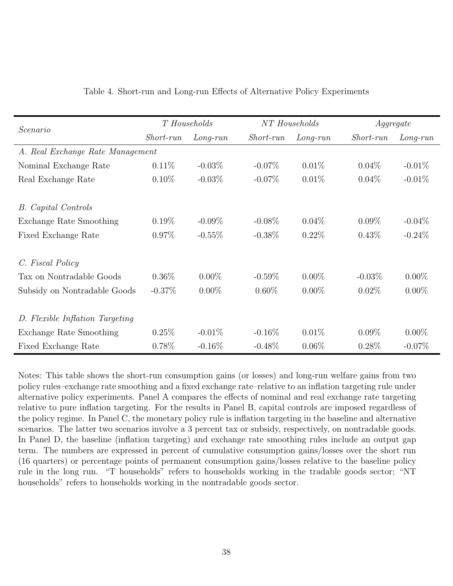| Scenario                         | T Households     |            | NT Households    |            | Aggregate        |            |  |
|----------------------------------|------------------|------------|------------------|------------|------------------|------------|--|
|                                  | <i>Short-run</i> | $Long-run$ | <i>Short-run</i> | $Long-run$ | <i>Short-run</i> | $Long-run$ |  |
| A. Real Exchange Rate Management |                  |            |                  |            |                  |            |  |
| Nominal Exchange Rate            | $0.11\%$         | $-0.03\%$  | $-0.07\%$        | $0.01\%$   | $0.04\%$         | $-0.01\%$  |  |
| Real Exchange Rate               | $0.10\%$         | $-0.03\%$  | $-0.07\%$        | 0.01%      | $0.04\%$         | $-0.01\%$  |  |
|                                  |                  |            |                  |            |                  |            |  |
| <b>B.</b> Capital Controls       |                  |            |                  |            |                  |            |  |
| Exchange Rate Smoothing          | $0.19\%$         | $-0.09\%$  | $-0.08\%$        | $0.04\%$   | $0.09\%$         | $-0.04\%$  |  |
| Fixed Exchange Rate              | $0.97\%$         | $-0.55%$   | $-0.38\%$        | $0.22\%$   | $0.43\%$         | $-0.24\%$  |  |
| C. Fiscal Policy                 |                  |            |                  |            |                  |            |  |
| Tax on Nontradable Goods         | $0.36\%$         | $0.00\%$   | $-0.59\%$        | $0.00\%$   | $-0.03\%$        | $0.00\%$   |  |
| Subsidy on Nontradable Goods     | $-0.37\%$        | $0.00\%$   | $0.60\%$         | $0.00\%$   | $0.02\%$         | $0.00\%$   |  |
| D. Flexible Inflation Targeting  |                  |            |                  |            |                  |            |  |
| Exchange Rate Smoothing          | 0.25%            | $-0.01\%$  | $-0.16\%$        | $0.01\%$   | $0.09\%$         | $0.00\%$   |  |
| Fixed Exchange Rate              | $0.78\%$         | $-0.16\%$  | $-0.48\%$        | $0.06\%$   | $0.28\%$         | $-0.07\%$  |  |

| Table 4. Short-run and Long-run Effects of Alternative Policy Experiments |  |  |  |  |  |  |  |
|---------------------------------------------------------------------------|--|--|--|--|--|--|--|
|---------------------------------------------------------------------------|--|--|--|--|--|--|--|

Notes: This table shows the short-run consumption gains (or losses) and long-run welfare gains from two policy rules–exchange rate smoothing and a fixed exchange rate–relative to an inflation targeting rule under alternative policy experiments. Panel A compares the effects of nominal and real exchange rate targeting relative to pure inflation targeting. For the results in Panel B, capital controls are imposed regardless of the policy regime. In Panel C, the monetary policy rule is inflation targeting in the baseline and alternative scenarios. The latter two scenarios involve a 3 percent tax or subsidy, respectively, on nontradable goods. In Panel D, the baseline (inflation targeting) and exchange rate smoothing rules include an output gap term. The numbers are expressed in percent of cumulative consumption gains/losses over the short run (16 quarters) or percentage points of permanent consumption gains/losses relative to the baseline policy rule in the long run. "T households" refers to households working in the tradable goods sector; "NT households" refers to households working in the nontradable goods sector.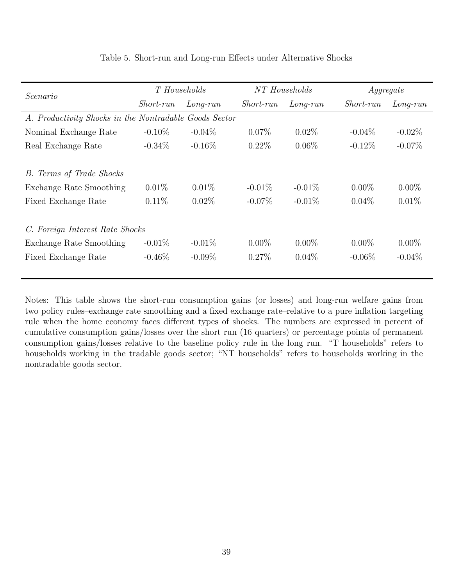| Scenario                                               | T Households     |            | NT Households    |            | Aggregate        |            |  |  |  |
|--------------------------------------------------------|------------------|------------|------------------|------------|------------------|------------|--|--|--|
|                                                        | <i>Short-run</i> | $Long-run$ | <i>Short-run</i> | $Long-run$ | <i>Short-run</i> | $Long-run$ |  |  |  |
| A. Productivity Shocks in the Nontradable Goods Sector |                  |            |                  |            |                  |            |  |  |  |
| Nominal Exchange Rate                                  | $-0.10\%$        | $-0.04\%$  | $0.07\%$         | $0.02\%$   | $-0.04\%$        | $-0.02\%$  |  |  |  |
| Real Exchange Rate                                     | $-0.34\%$        | $-0.16\%$  | $0.22\%$         | $0.06\%$   | $-0.12\%$        | $-0.07\%$  |  |  |  |
|                                                        |                  |            |                  |            |                  |            |  |  |  |
| B. Terms of Trade Shocks                               |                  |            |                  |            |                  |            |  |  |  |
| Exchange Rate Smoothing                                | $0.01\%$         | $0.01\%$   | $-0.01\%$        | $-0.01\%$  | $0.00\%$         | $0.00\%$   |  |  |  |
| Fixed Exchange Rate                                    | $0.11\%$         | $0.02\%$   | $-0.07\%$        | $-0.01\%$  | $0.04\%$         | $0.01\%$   |  |  |  |
|                                                        |                  |            |                  |            |                  |            |  |  |  |
| C. Foreign Interest Rate Shocks                        |                  |            |                  |            |                  |            |  |  |  |
| Exchange Rate Smoothing                                | $-0.01\%$        | $-0.01\%$  | $0.00\%$         | $0.00\%$   | $0.00\%$         | $0.00\%$   |  |  |  |
| Fixed Exchange Rate                                    | $-0.46\%$        | $-0.09\%$  | $0.27\%$         | $0.04\%$   | $-0.06\%$        | $-0.04\%$  |  |  |  |
|                                                        |                  |            |                  |            |                  |            |  |  |  |

### Table 5. Short-run and Long-run Effects under Alternative Shocks

Notes: This table shows the short-run consumption gains (or losses) and long-run welfare gains from two policy rules–exchange rate smoothing and a fixed exchange rate–relative to a pure inflation targeting rule when the home economy faces different types of shocks. The numbers are expressed in percent of cumulative consumption gains/losses over the short run (16 quarters) or percentage points of permanent consumption gains/losses relative to the baseline policy rule in the long run. "T households" refers to households working in the tradable goods sector; "NT households" refers to households working in the nontradable goods sector.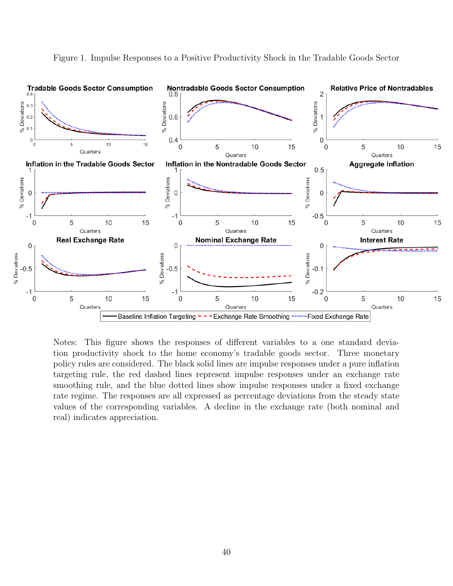

Figure 1. Impulse Responses to a Positive Productivity Shock in the Tradable Goods Sector

Notes: This figure shows the responses of different variables to a one standard deviation productivity shock to the home economy's tradable goods sector. Three monetary policy rules are considered. The black solid lines are impulse responses under a pure inflation targeting rule, the red dashed lines represent impulse responses under an exchange rate smoothing rule, and the blue dotted lines show impulse responses under a fixed exchange rate regime. The responses are all expressed as percentage deviations from the steady state values of the corresponding variables. A decline in the exchange rate (both nominal and real) indicates appreciation.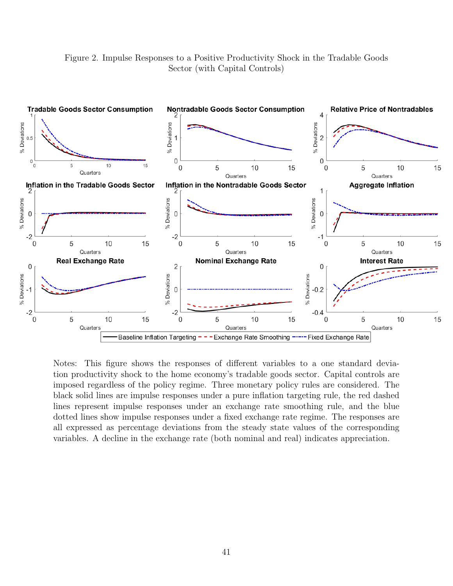Figure 2. Impulse Responses to a Positive Productivity Shock in the Tradable Goods Sector (with Capital Controls)



Notes: This figure shows the responses of different variables to a one standard deviation productivity shock to the home economy's tradable goods sector. Capital controls are imposed regardless of the policy regime. Three monetary policy rules are considered. The black solid lines are impulse responses under a pure inflation targeting rule, the red dashed lines represent impulse responses under an exchange rate smoothing rule, and the blue dotted lines show impulse responses under a fixed exchange rate regime. The responses are all expressed as percentage deviations from the steady state values of the corresponding variables. A decline in the exchange rate (both nominal and real) indicates appreciation.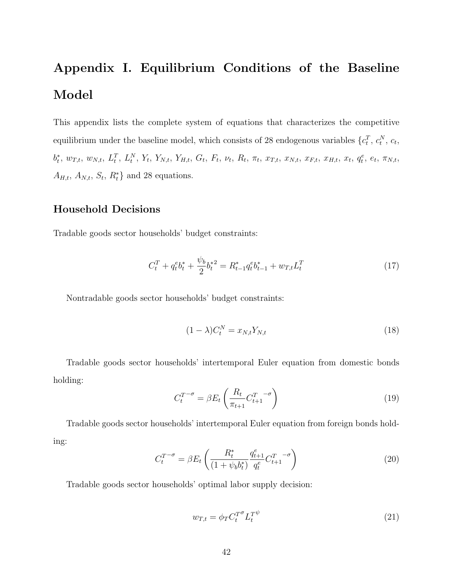# Appendix I. Equilibrium Conditions of the Baseline Model

This appendix lists the complete system of equations that characterizes the competitive equilibrium under the baseline model, which consists of 28 endogenous variables  $\{c_t^T, c_t^N, c_t,$  $b_t^*, w_{T,t}, w_{N,t}, L_t^T, L_t^N, Y_t, Y_{N,t}, Y_{H,t}, G_t, F_t, \nu_t, R_t, \pi_t, x_{T,t}, x_{N,t}, x_{F,t}, x_{H,t}, x_t, q_t^e, e_t, \pi_{N,t},$  $A_{H,t}, A_{N,t}, S_t, R_t^* \}$  and 28 equations.

### Household Decisions

Tradable goods sector households' budget constraints:

$$
C_t^T + q_t^e b_t^* + \frac{\psi_b}{2} b_t^{*2} = R_{t-1}^* q_t^e b_{t-1}^* + w_{T,t} L_t^T
$$
\n(17)

Nontradable goods sector households' budget constraints:

$$
(1 - \lambda)C_t^N = x_{N,t}Y_{N,t}
$$
\n
$$
(18)
$$

Tradable goods sector households' intertemporal Euler equation from domestic bonds holding:

$$
C_t^{T-\sigma} = \beta E_t \left( \frac{R_t}{\pi_{t+1}} C_{t+1}^{T-\sigma} \right) \tag{19}
$$

Tradable goods sector households' intertemporal Euler equation from foreign bonds holding:

$$
C_t^{T-\sigma} = \beta E_t \left( \frac{R_t^*}{(1+\psi_b b_t^*)} \frac{q_{t+1}^e}{q_t^e} C_{t+1}^{T-\sigma} \right)
$$
 (20)

Tradable goods sector households' optimal labor supply decision:

$$
w_{T,t} = \phi_T C_t^{T^{\sigma}} L_t^{T^{\psi}} \tag{21}
$$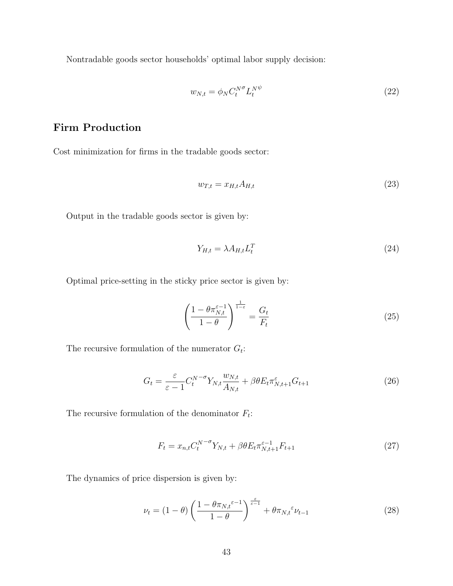Nontradable goods sector households' optimal labor supply decision:

$$
w_{N,t} = \phi_N C_t^{N^\sigma} L_t^{N^\psi} \tag{22}
$$

### Firm Production

Cost minimization for firms in the tradable goods sector:

$$
w_{T,t} = x_{H,t} A_{H,t} \tag{23}
$$

Output in the tradable goods sector is given by:

$$
Y_{H,t} = \lambda A_{H,t} L_t^T \tag{24}
$$

Optimal price-setting in the sticky price sector is given by:

$$
\left(\frac{1-\theta\pi_{N,t}^{\varepsilon-1}}{1-\theta}\right)^{\frac{1}{1-\varepsilon}} = \frac{G_t}{F_t}
$$
\n(25)

The recursive formulation of the numerator  $G_t$ :

$$
G_t = \frac{\varepsilon}{\varepsilon - 1} C_t^{N - \sigma} Y_{N,t} \frac{w_{N,t}}{A_{N,t}} + \beta \theta E_t \pi_{N,t+1}^{\varepsilon} G_{t+1}
$$
(26)

The recursive formulation of the denominator  $F_t$ :

$$
F_t = x_{n,t} C_t^{N-\sigma} Y_{N,t} + \beta \theta E_t \pi_{N,t+1}^{\varepsilon-1} F_{t+1}
$$
 (27)

The dynamics of price dispersion is given by:

$$
\nu_t = (1 - \theta) \left( \frac{1 - \theta \pi_{N,t} \varepsilon^{-1}}{1 - \theta} \right)^{\frac{\varepsilon}{\varepsilon - 1}} + \theta \pi_{N,t} \varepsilon \nu_{t-1}
$$
(28)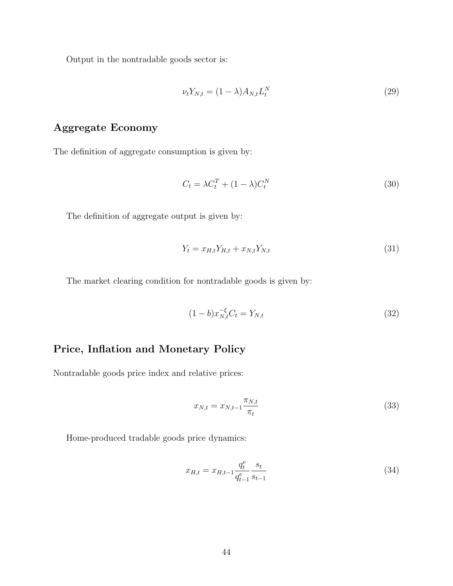Output in the nontradable goods sector is:

$$
\nu_t Y_{N,t} = (1 - \lambda) A_{N,t} L_t^N \tag{29}
$$

# Aggregate Economy

The definition of aggregate consumption is given by:

$$
C_t = \lambda C_t^T + (1 - \lambda)C_t^N \tag{30}
$$

The definition of aggregate output is given by:

$$
Y_t = x_{H,t} Y_{H,t} + x_{N,t} Y_{N,t}
$$
\n(31)

The market clearing condition for nontradable goods is given by:

$$
(1 - b)x_{N,t}^{-\xi}C_t = Y_{N,t}
$$
\n(32)

### Price, Inflation and Monetary Policy

Nontradable goods price index and relative prices:

$$
x_{N,t} = x_{N,t-1} \frac{\pi_{N,t}}{\pi_t} \tag{33}
$$

Home-produced tradable goods price dynamics:

$$
x_{H,t} = x_{H,t-1} \frac{q_t^e}{q_{t-1}^e} \frac{s_t}{s_{t-1}}
$$
\n(34)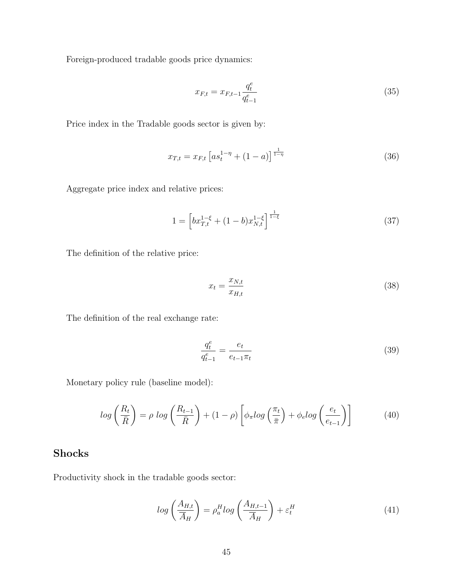Foreign-produced tradable goods price dynamics:

$$
x_{F,t} = x_{F,t-1} \frac{q_t^e}{q_{t-1}^e} \tag{35}
$$

Price index in the Tradable goods sector is given by:

$$
x_{T,t} = x_{F,t} \left[ a s_t^{1-\eta} + (1-a) \right]^{\frac{1}{1-\eta}}
$$
\n(36)

Aggregate price index and relative prices:

$$
1 = \left[bx_{T,t}^{1-\xi} + (1-b)x_{N,t}^{1-\xi}\right]^{\frac{1}{1-\xi}}
$$
\n(37)

The definition of the relative price:

$$
x_t = \frac{x_{N,t}}{x_{H,t}}\tag{38}
$$

The definition of the real exchange rate:

$$
\frac{q_t^e}{q_{t-1}^e} = \frac{e_t}{e_{t-1}\pi_t} \tag{39}
$$

Monetary policy rule (baseline model):

$$
log\left(\frac{R_t}{\bar{R}}\right) = \rho log\left(\frac{R_{t-1}}{\bar{R}}\right) + (1-\rho)\left[\phi_\pi log\left(\frac{\pi_t}{\bar{\pi}}\right) + \phi_e log\left(\frac{e_t}{e_{t-1}}\right)\right]
$$
(40)

### Shocks

Productivity shock in the tradable goods sector:

$$
log\left(\frac{A_{H,t}}{\overline{A}_H}\right) = \rho_a^H log\left(\frac{A_{H,t-1}}{\overline{A}_H}\right) + \varepsilon_t^H
$$
\n(41)